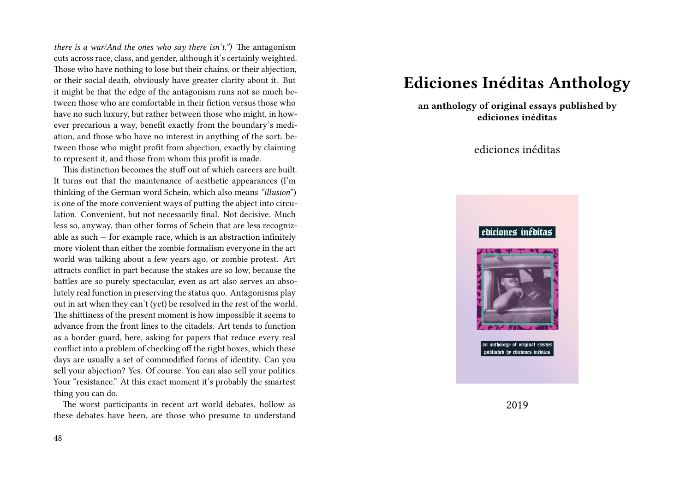*there is a war/And the ones who say there isn't.")* The antagonism cuts across race, class, and gender, although it's certainly weighted. Those who have nothing to lose but their chains, or their abjection, or their social death, obviously have greater clarity about it. But it might be that the edge of the antagonism runs not so much between those who are comfortable in their fiction versus those who have no such luxury, but rather between those who might, in however precarious a way, benefit exactly from the boundary's mediation, and those who have no interest in anything of the sort: between those who might profit from abjection, exactly by claiming to represent it, and those from whom this profit is made.

This distinction becomes the stuff out of which careers are built. It turns out that the maintenance of aesthetic appearances (I'm thinking of the German word Schein, which also means *"illusion*") is one of the more convenient ways of putting the abject into circulation. Convenient, but not necessarily final. Not decisive. Much less so, anyway, than other forms of Schein that are less recognizable as such  $-$  for example race, which is an abstraction infinitely more violent than either the zombie formalism everyone in the art world was talking about a few years ago, or zombie protest. Art attracts conflict in part because the stakes are so low, because the battles are so purely spectacular, even as art also serves an absolutely real function in preserving the status quo. Antagonisms play out in art when they can't (yet) be resolved in the rest of the world. The shittiness of the present moment is how impossible it seems to advance from the front lines to the citadels. Art tends to function as a border guard, here, asking for papers that reduce every real conflict into a problem of checking off the right boxes, which these days are usually a set of commodified forms of identity. Can you sell your abjection? Yes. Of course. You can also sell your politics. Your "resistance." At this exact moment it's probably the smartest thing you can do.

The worst participants in recent art world debates, hollow as these debates have been, are those who presume to understand

#### 48

## **Ediciones Inéditas Anthology**

**an anthology of original essays published by ediciones inéditas**

ediciones inéditas



2019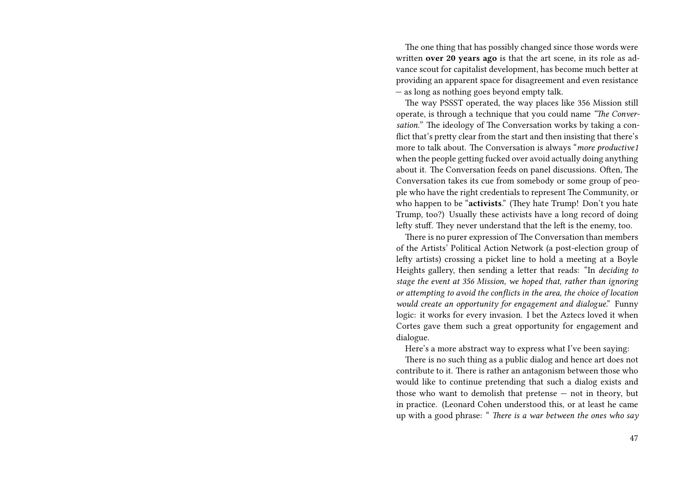The one thing that has possibly changed since those words were written **over 20 years ago** is that the art scene, in its role as advance scout for capitalist development, has become much better at providing an apparent space for disagreement and even resistance — as long as nothing goes beyond empty talk.

The way PSSST operated, the way places like 356 Mission still operate, is through a technique that you could name *"The Conversation."* The ideology of The Conversation works by taking a conflict that's pretty clear from the start and then insisting that there's more to talk about. The Conversation is always "*more productive1* when the people getting fucked over avoid actually doing anything about it. The Conversation feeds on panel discussions. Often, The Conversation takes its cue from somebody or some group of people who have the right credentials to represent The Community, or who happen to be "**activists**." (They hate Trump! Don't you hate Trump, too?) Usually these activists have a long record of doing lefty stuff. They never understand that the left is the enemy, too.

There is no purer expression of The Conversation than members of the Artists' Political Action Network (a post-election group of lefty artists) crossing a picket line to hold a meeting at a Boyle Heights gallery, then sending a letter that reads: "In *deciding to stage the event at 356 Mission, we hoped that, rather than ignoring or attempting to avoid the conflicts in the area, the choice of location would create an opportunity for engagement and dialogue*." Funny logic: it works for every invasion. I bet the Aztecs loved it when Cortes gave them such a great opportunity for engagement and dialogue.

Here's a more abstract way to express what I've been saying:

There is no such thing as a public dialog and hence art does not contribute to it. There is rather an antagonism between those who would like to continue pretending that such a dialog exists and those who want to demolish that pretense — not in theory, but in practice. (Leonard Cohen understood this, or at least he came up with a good phrase: " *There is a war between the ones who say*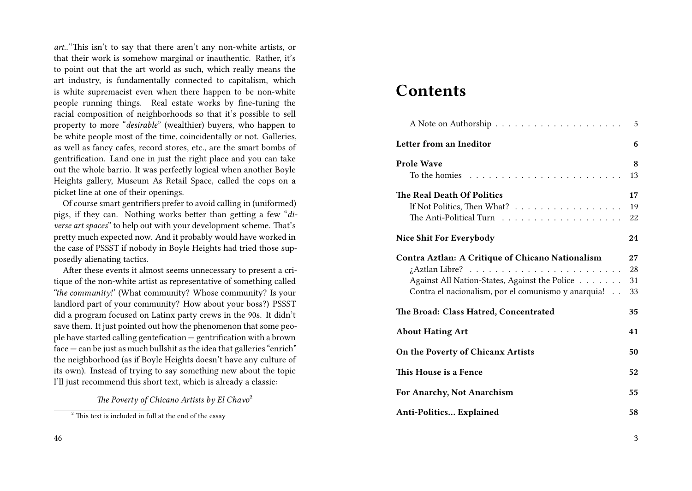*art..*''This isn't to say that there aren't any non-white artists, or that their work is somehow marginal or inauthentic. Rather, it's to point out that the art world as such, which really means the art industry, is fundamentally connected to capitalism, which is white supremacist even when there happen to be non-white people running things. Real estate works by fine-tuning the racial composition of neighborhoods so that it's possible to sell property to more "*desirable*" (wealthier) buyers, who happen to be white people most of the time, coincidentally or not. Galleries, as well as fancy cafes, record stores, etc., are the smart bombs of gentrification. Land one in just the right place and you can take out the whole barrio. It was perfectly logical when another Boyle Heights gallery, Museum As Retail Space, called the cops on a picket line at one of their openings.

Of course smart gentrifiers prefer to avoid calling in (uniformed) pigs, if they can. Nothing works better than getting a few "*diverse art spaces*" to help out with your development scheme. That's pretty much expected now. And it probably would have worked in the case of PSSST if nobody in Boyle Heights had tried those supposedly alienating tactics.

After these events it almost seems unnecessary to present a critique of the non-white artist as representative of something called *"the community!'* (What community? Whose community? Is your landlord part of your community? How about your boss?) PSSST did a program focused on Latinx party crews in the 90s. It didn't save them. It just pointed out how the phenomenon that some people have started calling gentefication — gentrification with a brown face — can be just as much bullshit as the idea that galleries "enrich" the neighborhood (as if Boyle Heights doesn't have any culture of its own). Instead of trying to say something new about the topic I'll just recommend this short text, which is already a classic:

*The Poverty of Chicano Artists by El Chavo*<sup>2</sup>

## **Contents**

|                                                                  | 5  |
|------------------------------------------------------------------|----|
| Letter from an Ineditor                                          | 6  |
| <b>Prole Wave</b>                                                | 8  |
| To the homies $\ldots \ldots \ldots \ldots \ldots \ldots \ldots$ | 13 |
| The Real Death Of Politics                                       | 17 |
| If Not Politics, Then What?                                      | 19 |
|                                                                  | 22 |
| <b>Nice Shit For Everybody</b>                                   | 24 |
| Contra Aztlan: A Critique of Chicano Nationalism                 | 27 |
|                                                                  | 28 |
| Against All Nation-States, Against the Police                    | 31 |
| Contra el nacionalism, por el comunismo y anarquia!.             | 33 |
| The Broad: Class Hatred, Concentrated                            | 35 |
| <b>About Hating Art</b>                                          | 41 |
| On the Poverty of Chicanx Artists                                | 50 |
| This House is a Fence                                            | 52 |
| <b>For Anarchy, Not Anarchism</b>                                | 55 |
| Anti-Politics Explained                                          | 58 |

 $2$  This text is included in full at the end of the essay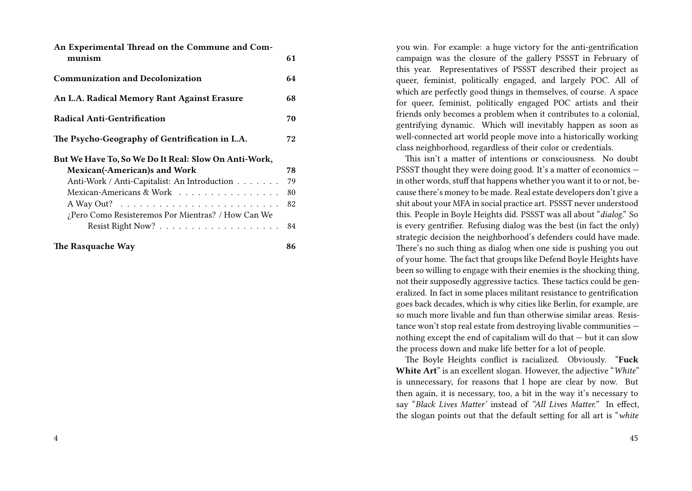| An Experimental Thread on the Commune and Com-       |    |
|------------------------------------------------------|----|
| munism                                               | 61 |
| <b>Communization and Decolonization</b>              | 64 |
| An L.A. Radical Memory Rant Against Erasure          | 68 |
| <b>Radical Anti-Gentrification</b>                   | 70 |
| The Psycho-Geography of Gentrification in L.A.       | 72 |
| But We Have To, So We Do It Real: Slow On Anti-Work, |    |
| Mexican(-American)s and Work                         | 78 |
| Anti-Work / Anti-Capitalist: An Introduction         | 79 |
| Mexican-Americans & Work                             | 80 |
|                                                      | 82 |
| ¿Pero Como Resisteremos Por Mientras? / How Can We   |    |
|                                                      | 84 |
| The Rasquache Way                                    | 86 |

you win. For example: a huge victory for the anti-gentrification campaign was the closure of the gallery PSSST in February of this year. Representatives of PSSST described their project as queer, feminist, politically engaged, and largely POC. All of which are perfectly good things in themselves, of course. A space for queer, feminist, politically engaged POC artists and their friends only becomes a problem when it contributes to a colonial, gentrifying dynamic. Which will inevitably happen as soon as well-connected art world people move into a historically working class neighborhood, regardless of their color or credentials.

This isn't a matter of intentions or consciousness. No doubt PSSST thought they were doing good. It's a matter of economics in other words, stuff that happens whether you want it to or not, because there's money to be made. Real estate developers don't give a shit about your MFA in social practice art. PSSST never understood this. People in Boyle Heights did. PSSST was all about "*dialog*." So is every gentrifier. Refusing dialog was the best (in fact the only) strategic decision the neighborhood's defenders could have made. There's no such thing as dialog when one side is pushing you out of your home. The fact that groups like Defend Boyle Heights have been so willing to engage with their enemies is the shocking thing, not their supposedly aggressive tactics. These tactics could be generalized. In fact in some places militant resistance to gentrification goes back decades, which is why cities like Berlin, for example, are so much more livable and fun than otherwise similar areas. Resistance won't stop real estate from destroying livable communities nothing except the end of capitalism will do that — but it can slow the process down and make life better for a lot of people.

The Boyle Heights conflict is racialized. Obviously. "**Fuck White Art**" is an excellent slogan. However, the adjective "*White*" is unnecessary, for reasons that I hope are clear by now. But then again, it is necessary, too, a bit in the way it's necessary to say "*Black Lives Matter'* instead of *"All Lives Matter."* In effect, the slogan points out that the default setting for all art is "*white*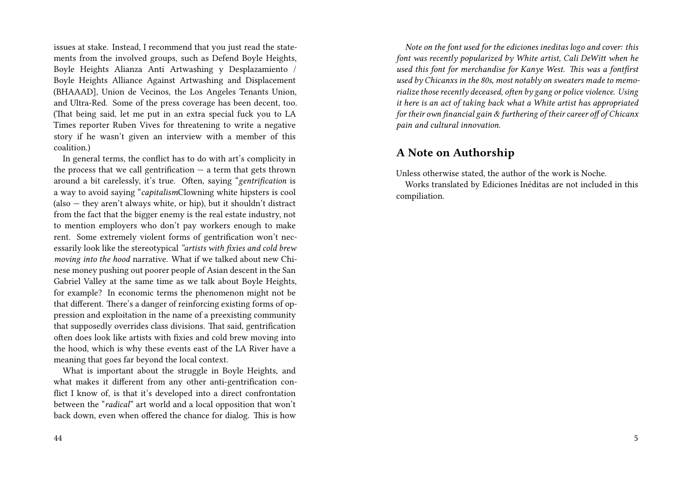issues at stake. Instead, I recommend that you just read the statements from the involved groups, such as Defend Boyle Heights, Boyle Heights Alianza Anti Artwashing y Desplazamiento / Boyle Heights Alliance Against Artwashing and Displacement (BHAAAD], Union de Vecinos, the Los Angeles Tenants Union, and Ultra-Red. Some of the press coverage has been decent, too. (That being said, let me put in an extra special fuck you to LA Times reporter Ruben Vives for threatening to write a negative story if he wasn't given an interview with a member of this coalition.)

In general terms, the conflict has to do with art's complicity in the process that we call gentrification  $-$  a term that gets thrown around a bit carelessly, it's true. Often, saying "*gentrification* is a way to avoid saying "*capitalism*Clowning white hipsters is cool (also — they aren't always white, or hip), but it shouldn't distract from the fact that the bigger enemy is the real estate industry, not to mention employers who don't pay workers enough to make rent. Some extremely violent forms of gentrification won't necessarily look like the stereotypical *"artists with fixies and cold brew moving into the hood* narrative. What if we talked about new Chinese money pushing out poorer people of Asian descent in the San Gabriel Valley at the same time as we talk about Boyle Heights, for example? In economic terms the phenomenon might not be that different. There's a danger of reinforcing existing forms of oppression and exploitation in the name of a preexisting community that supposedly overrides class divisions. That said, gentrification often does look like artists with fixies and cold brew moving into the hood, which is why these events east of the LA River have a meaning that goes far beyond the local context.

What is important about the struggle in Boyle Heights, and what makes it different from any other anti-gentrification conflict I know of, is that it's developed into a direct confrontation between the "*radical*" art world and a local opposition that won't back down, even when offered the chance for dialog. This is how

*Note on the font used for the ediciones ineditas logo and cover: this font was recently popularized by White artist, Cali DeWitt when he used this font for merchandise for Kanye West. This was a fontfirst used by Chicanxs in the 80s, most notably on sweaters made to memorialize those recently deceased, often by gang or police violence. Using it here is an act of taking back what a White artist has appropriated for their own financial gain & furthering of their career off of Chicanx pain and cultural innovation.*

### **A Note on Authorship**

Unless otherwise stated, the author of the work is Noche.

Works translated by Ediciones Inéditas are not included in this compiliation.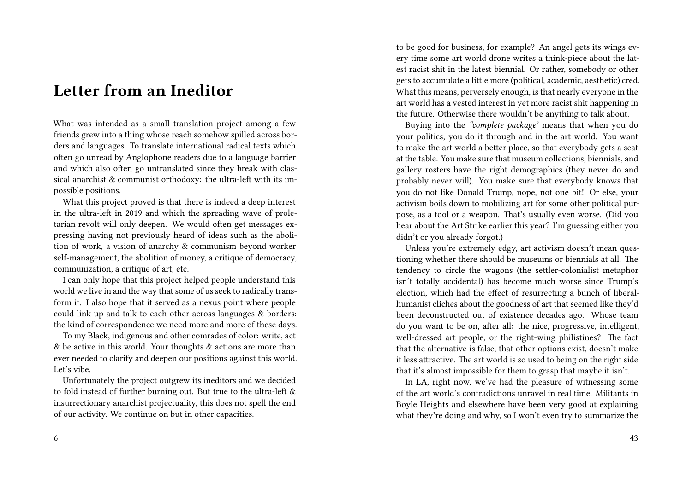## **Letter from an Ineditor**

What was intended as a small translation project among a few friends grew into a thing whose reach somehow spilled across borders and languages. To translate international radical texts which often go unread by Anglophone readers due to a language barrier and which also often go untranslated since they break with classical anarchist & communist orthodoxy: the ultra-left with its impossible positions.

What this project proved is that there is indeed a deep interest in the ultra-left in 2019 and which the spreading wave of proletarian revolt will only deepen. We would often get messages expressing having not previously heard of ideas such as the abolition of work, a vision of anarchy & communism beyond worker self-management, the abolition of money, a critique of democracy, communization, a critique of art, etc.

I can only hope that this project helped people understand this world we live in and the way that some of us seek to radically transform it. I also hope that it served as a nexus point where people could link up and talk to each other across languages & borders: the kind of correspondence we need more and more of these days.

To my Black, indigenous and other comrades of color: write, act  $\&$  be active in this world. Your thoughts  $\&$  actions are more than ever needed to clarify and deepen our positions against this world. Let's vibe.

Unfortunately the project outgrew its ineditors and we decided to fold instead of further burning out. But true to the ultra-left & insurrectionary anarchist projectuality, this does not spell the end of our activity. We continue on but in other capacities.

to be good for business, for example? An angel gets its wings every time some art world drone writes a think-piece about the latest racist shit in the latest biennial. Or rather, somebody or other gets to accumulate a little more (political, academic, aesthetic) cred. What this means, perversely enough, is that nearly everyone in the art world has a vested interest in yet more racist shit happening in the future. Otherwise there wouldn't be anything to talk about.

Buying into the *"complete package'* means that when you do your politics, you do it through and in the art world. You want to make the art world a better place, so that everybody gets a seat at the table. You make sure that museum collections, biennials, and gallery rosters have the right demographics (they never do and probably never will). You make sure that everybody knows that you do not like Donald Trump, nope, not one bit! Or else, your activism boils down to mobilizing art for some other political purpose, as a tool or a weapon. That's usually even worse. (Did you hear about the Art Strike earlier this year? I'm guessing either you didn't or you already forgot.)

Unless you're extremely edgy, art activism doesn't mean questioning whether there should be museums or biennials at all. The tendency to circle the wagons (the settler-colonialist metaphor isn't totally accidental) has become much worse since Trump's election, which had the effect of resurrecting a bunch of liberalhumanist cliches about the goodness of art that seemed like they'd been deconstructed out of existence decades ago. Whose team do you want to be on, after all: the nice, progressive, intelligent, well-dressed art people, or the right-wing philistines? The fact that the alternative is false, that other options exist, doesn't make it less attractive. The art world is so used to being on the right side that it's almost impossible for them to grasp that maybe it isn't.

In LA, right now, we've had the pleasure of witnessing some of the art world's contradictions unravel in real time. Militants in Boyle Heights and elsewhere have been very good at explaining what they're doing and why, so I won't even try to summarize the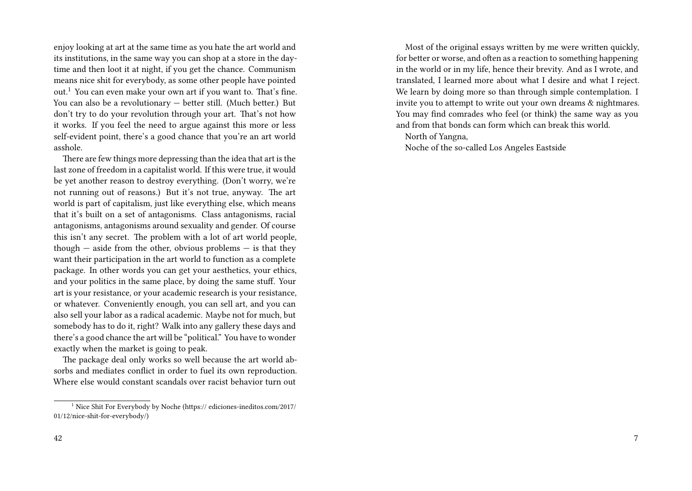enjoy looking at art at the same time as you hate the art world and its institutions, in the same way you can shop at a store in the daytime and then loot it at night, if you get the chance. Communism means nice shit for everybody, as some other people have pointed out.<sup>1</sup> You can even make your own art if you want to. That's fine. You can also be a revolutionary — better still. (Much better.) But don't try to do your revolution through your art. That's not how it works. If you feel the need to argue against this more or less self-evident point, there's a good chance that you're an art world asshole.

There are few things more depressing than the idea that art is the last zone of freedom in a capitalist world. If this were true, it would be yet another reason to destroy everything. (Don't worry, we're not running out of reasons.) But it's not true, anyway. The art world is part of capitalism, just like everything else, which means that it's built on a set of antagonisms. Class antagonisms, racial antagonisms, antagonisms around sexuality and gender. Of course this isn't any secret. The problem with a lot of art world people, though  $-$  aside from the other, obvious problems  $-$  is that they want their participation in the art world to function as a complete package. In other words you can get your aesthetics, your ethics, and your politics in the same place, by doing the same stuff. Your art is your resistance, or your academic research is your resistance, or whatever. Conveniently enough, you can sell art, and you can also sell your labor as a radical academic. Maybe not for much, but somebody has to do it, right? Walk into any gallery these days and there's a good chance the art will be "political." You have to wonder exactly when the market is going to peak.

The package deal only works so well because the art world absorbs and mediates conflict in order to fuel its own reproduction. Where else would constant scandals over racist behavior turn out

Most of the original essays written by me were written quickly, for better or worse, and often as a reaction to something happening in the world or in my life, hence their brevity. And as I wrote, and translated, I learned more about what I desire and what I reject. We learn by doing more so than through simple contemplation. I invite you to attempt to write out your own dreams & nightmares. You may find comrades who feel (or think) the same way as you and from that bonds can form which can break this world.

North of Yangna,

Noche of the so-called Los Angeles Eastside

<sup>1</sup> Nice Shit For Everybody by Noche (https:// ediciones-ineditos.com/2017/ 01/12/nice-shit-for-everybody/)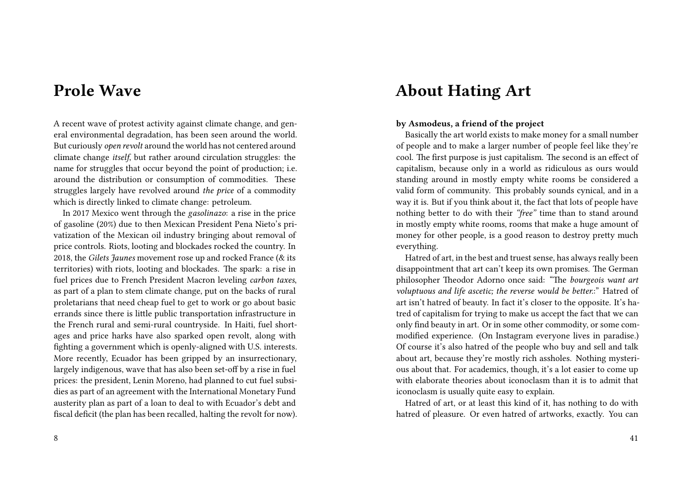## **Prole Wave**

A recent wave of protest activity against climate change, and general environmental degradation, has been seen around the world. But curiously *open revolt* around the world has not centered around climate change *itself*, but rather around circulation struggles: the name for struggles that occur beyond the point of production; i.e. around the distribution or consumption of commodities. These struggles largely have revolved around *the price* of a commodity which is directly linked to climate change: petroleum.

In 2017 Mexico went through the *gasolinazo*: a rise in the price of gasoline (20%) due to then Mexican President Pena Nieto's privatization of the Mexican oil industry bringing about removal of price controls. Riots, looting and blockades rocked the country. In 2018, the *Gilets Jaunes* movement rose up and rocked France (& its territories) with riots, looting and blockades. The spark: a rise in fuel prices due to French President Macron leveling *carbon taxes*, as part of a plan to stem climate change, put on the backs of rural proletarians that need cheap fuel to get to work or go about basic errands since there is little public transportation infrastructure in the French rural and semi-rural countryside. In Haiti, fuel shortages and price harks have also sparked open revolt, along with fighting a government which is openly-aligned with U.S. interests. More recently, Ecuador has been gripped by an insurrectionary, largely indigenous, wave that has also been set-off by a rise in fuel prices: the president, Lenin Moreno, had planned to cut fuel subsidies as part of an agreement with the International Monetary Fund austerity plan as part of a loan to deal to with Ecuador's debt and fiscal deficit (the plan has been recalled, halting the revolt for now).

## **About Hating Art**

#### **by Asmodeus, a friend of the project**

Basically the art world exists to make money for a small number of people and to make a larger number of people feel like they're cool. The first purpose is just capitalism. The second is an effect of capitalism, because only in a world as ridiculous as ours would standing around in mostly empty white rooms be considered a valid form of community. This probably sounds cynical, and in a way it is. But if you think about it, the fact that lots of people have nothing better to do with their *"free"* time than to stand around in mostly empty white rooms, rooms that make a huge amount of money for other people, is a good reason to destroy pretty much everything.

Hatred of art, in the best and truest sense, has always really been disappointment that art can't keep its own promises. The German philosopher Theodor Adorno once said: "The *bourgeois want art voluptuous and life ascetic; the reverse would be better.*:" Hatred of art isn't hatred of beauty. In fact it's closer to the opposite. It's hatred of capitalism for trying to make us accept the fact that we can only find beauty in art. Or in some other commodity, or some commodified experience. (On Instagram everyone lives in paradise.) Of course it's also hatred of the people who buy and sell and talk about art, because they're mostly rich assholes. Nothing mysterious about that. For academics, though, it's a lot easier to come up with elaborate theories about iconoclasm than it is to admit that iconoclasm is usually quite easy to explain.

Hatred of art, or at least this kind of it, has nothing to do with hatred of pleasure. Or even hatred of artworks, exactly. You can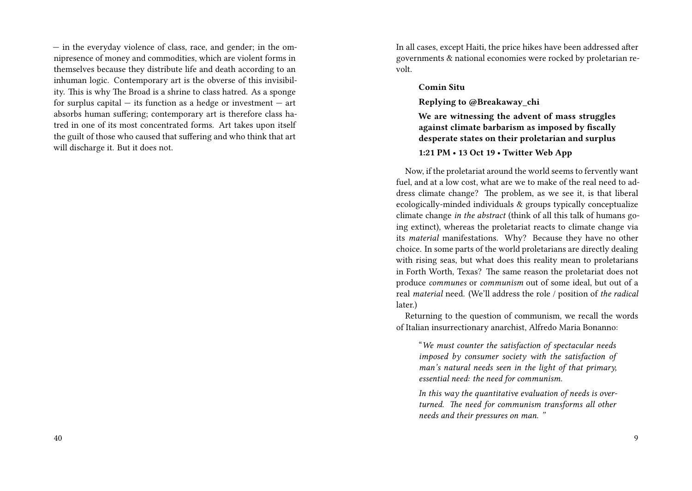— in the everyday violence of class, race, and gender; in the omnipresence of money and commodities, which are violent forms in themselves because they distribute life and death according to an inhuman logic. Contemporary art is the obverse of this invisibility. This is why The Broad is a shrine to class hatred. As a sponge for surplus capital  $-$  its function as a hedge or investment  $-$  art absorbs human suffering; contemporary art is therefore class hatred in one of its most concentrated forms. Art takes upon itself the guilt of those who caused that suffering and who think that art will discharge it. But it does not.

In all cases, except Haiti, the price hikes have been addressed after governments & national economies were rocked by proletarian revolt.

#### **Comin Situ**

**Replying to @Breakaway\_chi**

**We are witnessing the advent of mass struggles against climate barbarism as imposed by fiscally desperate states on their proletarian and surplus**

#### **1:21 PM • 13 Oct 19 • Twitter Web App**

Now, if the proletariat around the world seems to fervently want fuel, and at a low cost, what are we to make of the real need to address climate change? The problem, as we see it, is that liberal ecologically-minded individuals & groups typically conceptualize climate change *in the abstract* (think of all this talk of humans going extinct), whereas the proletariat reacts to climate change via its *material* manifestations. Why? Because they have no other choice. In some parts of the world proletarians are directly dealing with rising seas, but what does this reality mean to proletarians in Forth Worth, Texas? The same reason the proletariat does not produce *communes* or *communism* out of some ideal, but out of a real *material* need. (We'll address the role / position of *the radical* later.)

Returning to the question of communism, we recall the words of Italian insurrectionary anarchist, Alfredo Maria Bonanno:

"*We must counter the satisfaction of spectacular needs imposed by consumer society with the satisfaction of man's natural needs seen in the light of that primary, essential need: the need for communism.*

*In this way the quantitative evaluation of needs is overturned. The need for communism transforms all other needs and their pressures on man. "*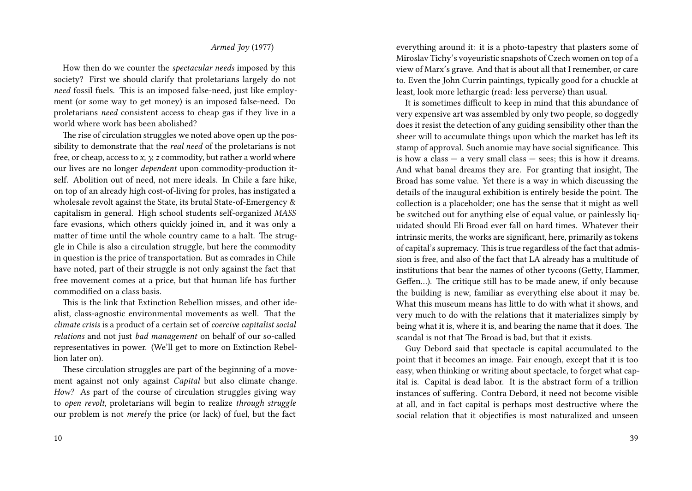#### *Armed Joy* (1977)

How then do we counter the *spectacular needs* imposed by this society? First we should clarify that proletarians largely do not *need* fossil fuels. This is an imposed false-need, just like employment (or some way to get money) is an imposed false-need. Do proletarians *need* consistent access to cheap gas if they live in a world where work has been abolished?

The rise of circulation struggles we noted above open up the possibility to demonstrate that the *real need* of the proletarians is not free, or cheap, access to *x, y, z* commodity, but rather a world where our lives are no longer *dependent* upon commodity-production itself. Abolition out of need, not mere ideals. In Chile a fare hike, on top of an already high cost-of-living for proles, has instigated a wholesale revolt against the State, its brutal State-of-Emergency & capitalism in general. High school students self-organized *MASS* fare evasions, which others quickly joined in, and it was only a matter of time until the whole country came to a halt. The struggle in Chile is also a circulation struggle, but here the commodity in question is the price of transportation. But as comrades in Chile have noted, part of their struggle is not only against the fact that free movement comes at a price, but that human life has further commodified on a class basis.

This is the link that Extinction Rebellion misses, and other idealist, class-agnostic environmental movements as well. That the *climate crisis* is a product of a certain set of *coercive capitalist social relations* and not just *bad management* on behalf of our so-called representatives in power. (We'll get to more on Extinction Rebellion later on).

These circulation struggles are part of the beginning of a movement against not only against *Capital* but also climate change. *How?* As part of the course of circulation struggles giving way to *open revolt*, proletarians will begin to realize *through struggle* our problem is not *merely* the price (or lack) of fuel, but the fact everything around it: it is a photo-tapestry that plasters some of Miroslav Tichy's voyeuristic snapshots of Czech women on top of a view of Marx's grave. And that is about all that I remember, or care to. Even the John Currin paintings, typically good for a chuckle at least, look more lethargic (read: less perverse) than usual.

It is sometimes difficult to keep in mind that this abundance of very expensive art was assembled by only two people, so doggedly does it resist the detection of any guiding sensibility other than the sheer will to accumulate things upon which the market has left its stamp of approval. Such anomie may have social significance. This is how a class  $-$  a very small class  $-$  sees; this is how it dreams. And what banal dreams they are. For granting that insight, The Broad has some value. Yet there is a way in which discussing the details of the inaugural exhibition is entirely beside the point. The collection is a placeholder; one has the sense that it might as well be switched out for anything else of equal value, or painlessly liquidated should Eli Broad ever fall on hard times. Whatever their intrinsic merits, the works are significant, here, primarily as tokens of capital's supremacy. This is true regardless of the fact that admission is free, and also of the fact that LA already has a multitude of institutions that bear the names of other tycoons (Getty, Hammer, Geffen…). The critique still has to be made anew, if only because the building is new, familiar as everything else about it may be. What this museum means has little to do with what it shows, and very much to do with the relations that it materializes simply by being what it is, where it is, and bearing the name that it does. The scandal is not that The Broad is bad, but that it exists.

Guy Debord said that spectacle is capital accumulated to the point that it becomes an image. Fair enough, except that it is too easy, when thinking or writing about spectacle, to forget what capital is. Capital is dead labor. It is the abstract form of a trillion instances of suffering. Contra Debord, it need not become visible at all, and in fact capital is perhaps most destructive where the social relation that it objectifies is most naturalized and unseen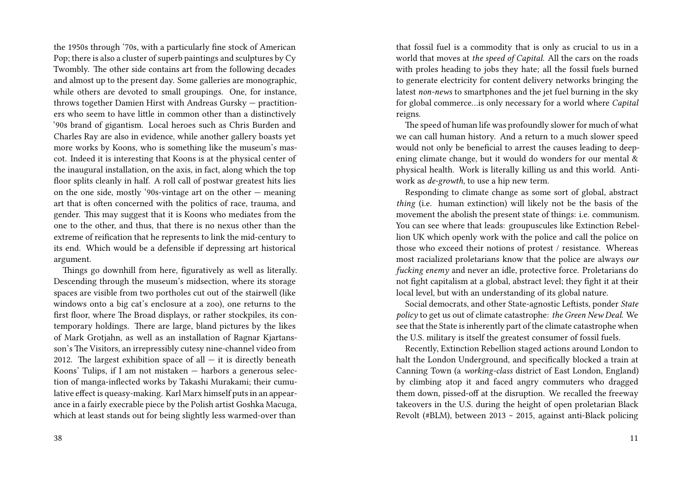the 1950s through '70s, with a particularly fine stock of American Pop; there is also a cluster of superb paintings and sculptures by Cy Twombly. The other side contains art from the following decades and almost up to the present day. Some galleries are monographic, while others are devoted to small groupings. One, for instance, throws together Damien Hirst with Andreas Gursky — practitioners who seem to have little in common other than a distinctively '90s brand of gigantism. Local heroes such as Chris Burden and Charles Ray are also in evidence, while another gallery boasts yet more works by Koons, who is something like the museum's mascot. Indeed it is interesting that Koons is at the physical center of the inaugural installation, on the axis, in fact, along which the top floor splits cleanly in half. A roll call of postwar greatest hits lies on the one side, mostly '90s-vintage art on the other — meaning art that is often concerned with the politics of race, trauma, and gender. This may suggest that it is Koons who mediates from the one to the other, and thus, that there is no nexus other than the extreme of reification that he represents to link the mid-century to its end. Which would be a defensible if depressing art historical argument.

Things go downhill from here, figuratively as well as literally. Descending through the museum's midsection, where its storage spaces are visible from two portholes cut out of the stairwell (like windows onto a big cat's enclosure at a zoo), one returns to the first floor, where The Broad displays, or rather stockpiles, its contemporary holdings. There are large, bland pictures by the likes of Mark Grotjahn, as well as an installation of Ragnar Kjartansson's The Visitors, an irrepressibly cutesy nine-channel video from 2012. The largest exhibition space of all  $-$  it is directly beneath Koons' Tulips, if I am not mistaken — harbors a generous selection of manga-inflected works by Takashi Murakami; their cumulative effect is queasy-making. Karl Marx himself puts in an appearance in a fairly execrable piece by the Polish artist Goshka Macuga, which at least stands out for being slightly less warmed-over than

that fossil fuel is a commodity that is only as crucial to us in a world that moves at *the speed of Capital.* All the cars on the roads with proles heading to jobs they hate; all the fossil fuels burned to generate electricity for content delivery networks bringing the latest *non-news* to smartphones and the jet fuel burning in the sky for global commerce…is only necessary for a world where *Capital* reigns.

The speed of human life was profoundly slower for much of what we can call human history. And a return to a much slower speed would not only be beneficial to arrest the causes leading to deepening climate change, but it would do wonders for our mental & physical health. Work is literally killing us and this world. Antiwork as *de-growth*, to use a hip new term.

Responding to climate change as some sort of global, abstract *thing* (i.e. human extinction) will likely not be the basis of the movement the abolish the present state of things: i.e. communism. You can see where that leads: groupuscules like Extinction Rebellion UK which openly work with the police and call the police on those who exceed their notions of protest / resistance. Whereas most racialized proletarians know that the police are always *our fucking enemy* and never an idle, protective force. Proletarians do not fight capitalism at a global, abstract level; they fight it at their local level, but with an understanding of its global nature.

Social democrats, and other State-agnostic Leftists, ponder *State policy* to get us out of climate catastrophe: *the Green New Deal*. We see that the State is inherently part of the climate catastrophe when the U.S. military is itself the greatest consumer of fossil fuels.

Recently, Extinction Rebellion staged actions around London to halt the London Underground, and specifically blocked a train at Canning Town (a *working-class* district of East London, England) by climbing atop it and faced angry commuters who dragged them down, pissed-off at the disruption. We recalled the freeway takeovers in the U.S. during the height of open proletarian Black Revolt (#BLM), between 2013 ~ 2015, against anti-Black policing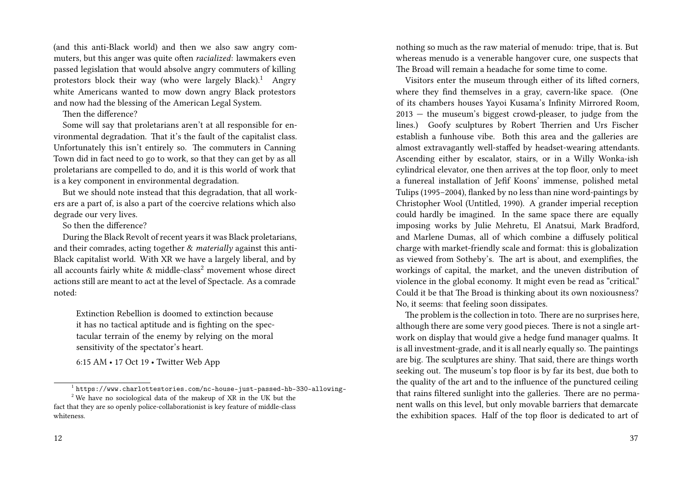(and this anti-Black world) and then we also saw angry commuters, but this anger was quite often *racialized*: lawmakers even passed legislation that would absolve angry commuters of killing protestors block their way (who were largely Black).<sup>1</sup> Angry white Americans wanted to mow down angry Black protestors and now had the blessing of the American Legal System.

Then the difference?

Some will say that proletarians aren't at all responsible for environmental degradation. That it's the fault of the capitalist class. Unfortunately this isn't entirely so. The commuters in Canning Town did in fact need to go to work, so that they can get by as all proletarians are compelled to do, and it is this world of work that is a key component in environmental degradation.

But we should note instead that this degradation, that all workers are a part of, is also a part of the coercive relations which also degrade our very lives.

So then the difference?

During the Black Revolt of recent years it was Black proletarians, and their comrades, acting together & *materially* against this anti-Black capitalist world. With XR we have a largely liberal, and by all accounts fairly white  $\&$  middle-class<sup>2</sup> movement whose direct actions still are meant to act at the level of Spectacle. As a comrade noted:

Extinction Rebellion is doomed to extinction because it has no tactical aptitude and is fighting on the spectacular terrain of the enemy by relying on the moral sensitivity of the spectator's heart.

6:15 AM • 17 Oct 19 • Twitter Web App

nothing so much as the raw material of menudo: tripe, that is. But whereas menudo is a venerable hangover cure, one suspects that The Broad will remain a headache for some time to come.

Visitors enter the museum through either of its lifted corners, where they find themselves in a gray, cavern-like space. (One of its chambers houses Yayoi Kusama's Infinity Mirrored Room, 2013 — the museum's biggest crowd-pleaser, to judge from the lines.) Goofy sculptures by Robert Therrien and Urs Fischer establish a funhouse vibe. Both this area and the galleries are almost extravagantly well-staffed by headset-wearing attendants. Ascending either by escalator, stairs, or in a Willy Wonka-ish cylindrical elevator, one then arrives at the top floor, only to meet a funereal installation of Jefif Koons' immense, polished metal Tulips (1995–2004), flanked by no less than nine word-paintings by Christopher Wool (Untitled, 1990). A grander imperial reception could hardly be imagined. In the same space there are equally imposing works by Julie Mehretu, El Anatsui, Mark Bradford, and Marlene Dumas, all of which combine a diffusely political charge with market-friendly scale and format: this is globalization as viewed from Sotheby's. The art is about, and exemplifies, the workings of capital, the market, and the uneven distribution of violence in the global economy. It might even be read as "critical." Could it be that The Broad is thinking about its own noxiousness? No, it seems: that feeling soon dissipates.

The problem is the collection in toto. There are no surprises here, although there are some very good pieces. There is not a single artwork on display that would give a hedge fund manager qualms. It is all investment-grade, and it is all nearly equally so. The paintings are big. The sculptures are shiny. That said, there are things worth seeking out. The museum's top floor is by far its best, due both to the quality of the art and to the influence of the punctured ceiling that rains filtered sunlight into the galleries. There are no permanent walls on this level, but only movable barriers that demarcate the exhibition spaces. Half of the top floor is dedicated to art of

<sup>1</sup> https://www.charlottestories.com/nc-house-just-passed-hb-330-allowing-drivers-legally-legally-legally-legally-drivers-block-roads-legally-legal-drivers-block-roads-legal-drivers-legally-legal-drivers-legally-legal-driver

<sup>2</sup> We have no sociological data of the makeup of XR in the UK but the fact that they are so openly police-collaborationist is key feature of middle-class whiteness.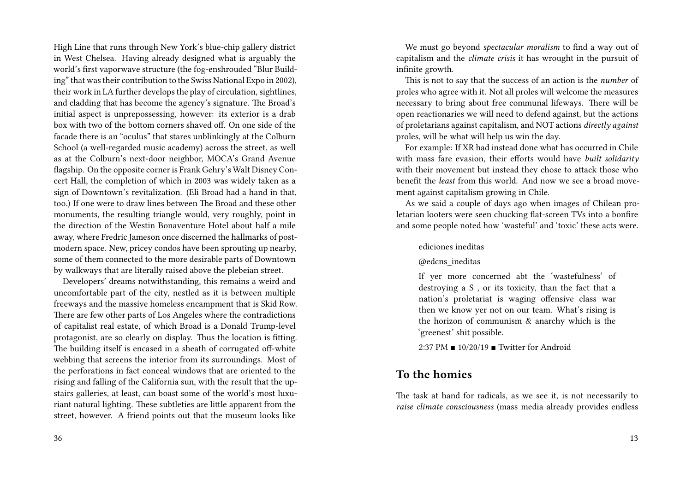High Line that runs through New York's blue-chip gallery district in West Chelsea. Having already designed what is arguably the world's first vaporwave structure (the fog-enshrouded "Blur Building" that was their contribution to the Swiss National Expo in 2002), their work in LA further develops the play of circulation, sightlines, and cladding that has become the agency's signature. The Broad's initial aspect is unprepossessing, however: its exterior is a drab box with two of the bottom corners shaved off. On one side of the facade there is an "oculus" that stares unblinkingly at the Colburn School (a well-regarded music academy) across the street, as well as at the Colburn's next-door neighbor, MOCA's Grand Avenue flagship. On the opposite corner is Frank Gehry's Walt Disney Concert Hall, the completion of which in 2003 was widely taken as a sign of Downtown's revitalization. (Eli Broad had a hand in that, too.) If one were to draw lines between The Broad and these other monuments, the resulting triangle would, very roughly, point in the direction of the Westin Bonaventure Hotel about half a mile away, where Fredric Jameson once discerned the hallmarks of postmodern space. New, pricey condos have been sprouting up nearby, some of them connected to the more desirable parts of Downtown by walkways that are literally raised above the plebeian street.

Developers' dreams notwithstanding, this remains a weird and uncomfortable part of the city, nestled as it is between multiple freeways and the massive homeless encampment that is Skid Row. There are few other parts of Los Angeles where the contradictions of capitalist real estate, of which Broad is a Donald Trump-level protagonist, are so clearly on display. Thus the location is fitting. The building itself is encased in a sheath of corrugated off-white webbing that screens the interior from its surroundings. Most of the perforations in fact conceal windows that are oriented to the rising and falling of the California sun, with the result that the upstairs galleries, at least, can boast some of the world's most luxuriant natural lighting. These subtleties are little apparent from the street, however. A friend points out that the museum looks like

We must go beyond *spectacular moralism* to find a way out of capitalism and the *climate crisis* it has wrought in the pursuit of infinite growth.

This is not to say that the success of an action is the *number* of proles who agree with it. Not all proles will welcome the measures necessary to bring about free communal lifeways. There will be open reactionaries we will need to defend against, but the actions of proletarians against capitalism, and NOT actions *directly against* proles, will be what will help us win the day.

For example: If XR had instead done what has occurred in Chile with mass fare evasion, their efforts would have *built solidarity* with their movement but instead they chose to attack those who benefit the *least* from this world. And now we see a broad movement against capitalism growing in Chile.

As we said a couple of days ago when images of Chilean proletarian looters were seen chucking flat-screen TVs into a bonfire and some people noted how 'wasteful' and 'toxic' these acts were.

#### ediciones ineditas

#### @edcns\_ineditas

If yer more concerned abt the 'wastefulness' of destroying a S , or its toxicity, than the fact that a nation's proletariat is waging offensive class war then we know yer not on our team. What's rising is the horizon of communism & anarchy which is the 'greenest' shit possible.

2:37 PM ■ 10/20/19 ■ Twitter for Android

### **To the homies**

The task at hand for radicals, as we see it, is not necessarily to *raise climate consciousness* (mass media already provides endless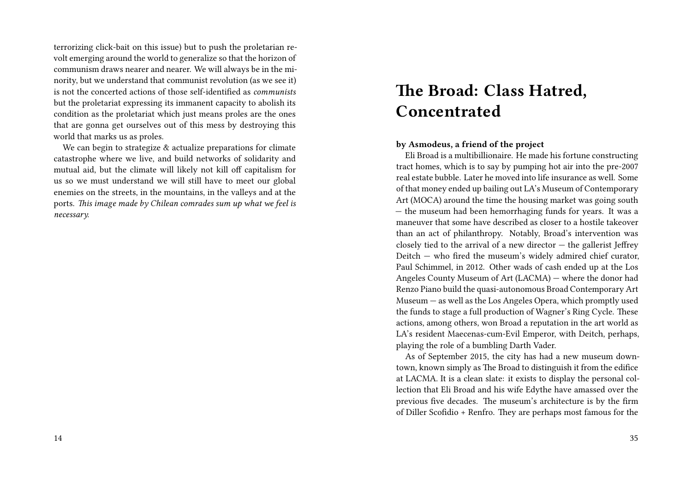terrorizing click-bait on this issue) but to push the proletarian revolt emerging around the world to generalize so that the horizon of communism draws nearer and nearer. We will always be in the minority, but we understand that communist revolution (as we see it) is not the concerted actions of those self-identified as *communists* but the proletariat expressing its immanent capacity to abolish its condition as the proletariat which just means proles are the ones that are gonna get ourselves out of this mess by destroying this world that marks us as proles.

We can begin to strategize & actualize preparations for climate catastrophe where we live, and build networks of solidarity and mutual aid, but the climate will likely not kill off capitalism for us so we must understand we will still have to meet our global enemies on the streets, in the mountains, in the valleys and at the ports. *This image made by Chilean comrades sum up what we feel is necessary.*

# **The Broad: Class Hatred, Concentrated**

#### **by Asmodeus, a friend of the project**

Eli Broad is a multibillionaire. He made his fortune constructing tract homes, which is to say by pumping hot air into the pre-2007 real estate bubble. Later he moved into life insurance as well. Some of that money ended up bailing out LA's Museum of Contemporary Art (MOCA) around the time the housing market was going south — the museum had been hemorrhaging funds for years. It was a maneuver that some have described as closer to a hostile takeover than an act of philanthropy. Notably, Broad's intervention was closely tied to the arrival of a new director  $-$  the gallerist Jeffrey Deitch — who fired the museum's widely admired chief curator, Paul Schimmel, in 2012. Other wads of cash ended up at the Los Angeles County Museum of Art (LACMA) — where the donor had Renzo Piano build the quasi-autonomous Broad Contemporary Art Museum — as well as the Los Angeles Opera, which promptly used the funds to stage a full production of Wagner's Ring Cycle. These actions, among others, won Broad a reputation in the art world as LA's resident Maecenas-cum-Evil Emperor, with Deitch, perhaps, playing the role of a bumbling Darth Vader.

As of September 2015, the city has had a new museum downtown, known simply as The Broad to distinguish it from the edifice at LACMA. It is a clean slate: it exists to display the personal collection that Eli Broad and his wife Edythe have amassed over the previous five decades. The museum's architecture is by the firm of Diller Scofidio + Renfro. They are perhaps most famous for the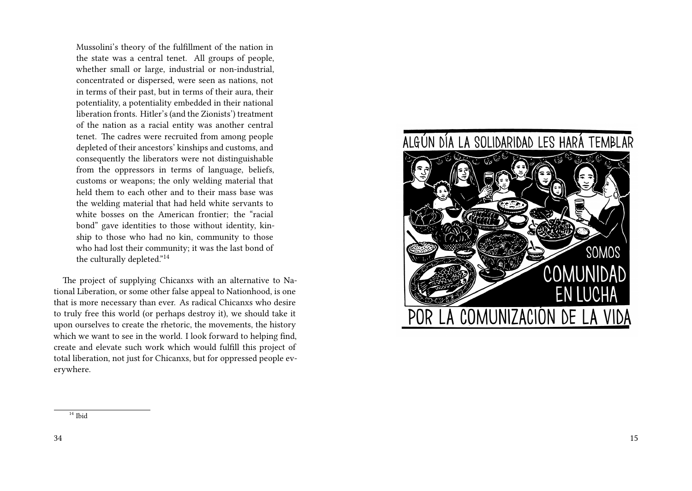Mussolini's theory of the fulfillment of the nation in the state was a central tenet. All groups of people, whether small or large, industrial or non-industrial, concentrated or dispersed, were seen as nations, not in terms of their past, but in terms of their aura, their potentiality, a potentiality embedded in their national liberation fronts. Hitler's (and the Zionists') treatment of the nation as a racial entity was another central tenet. The cadres were recruited from among people depleted of their ancestors' kinships and customs, and consequently the liberators were not distinguishable from the oppressors in terms of language, beliefs, customs or weapons; the only welding material that held them to each other and to their mass base was the welding material that had held white servants to white bosses on the American frontier; the "racial bond" gave identities to those without identity, kinship to those who had no kin, community to those who had lost their community; it was the last bond of the culturally depleted."<sup>14</sup>

The project of supplying Chicanxs with an alternative to National Liberation, or some other false appeal to Nationhood, is one that is more necessary than ever. As radical Chicanxs who desire to truly free this world (or perhaps destroy it), we should take it upon ourselves to create the rhetoric, the movements, the history which we want to see in the world. I look forward to helping find, create and elevate such work which would fulfill this project of total liberation, not just for Chicanxs, but for oppressed people everywhere.



 $14$  Ibid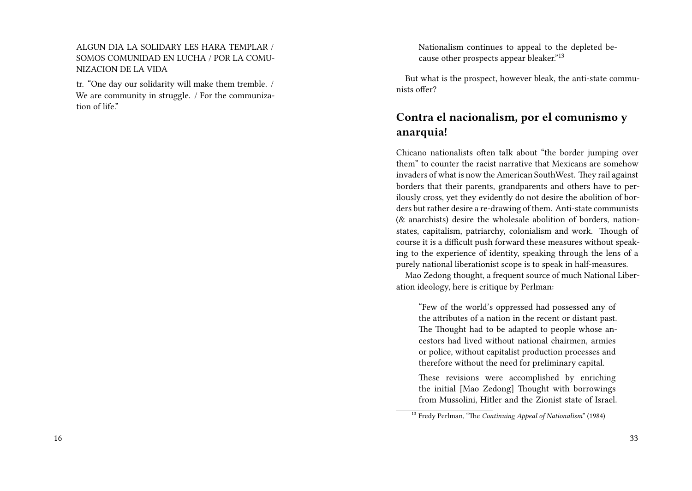ALGUN DIA LA SOLIDARY LES HARA TEMPLAR / SOMOS COMUNIDAD EN LUCHA / POR LA COMU-NIZACION DE LA VIDA

tr. "One day our solidarity will make them tremble. / We are community in struggle. / For the communization of life"

Nationalism continues to appeal to the depleted because other prospects appear bleaker."<sup>13</sup>

But what is the prospect, however bleak, the anti-state communists offer?

### **Contra el nacionalism, por el comunismo y anarquia!**

Chicano nationalists often talk about "the border jumping over them" to counter the racist narrative that Mexicans are somehow invaders of what is now the American SouthWest. They rail against borders that their parents, grandparents and others have to perilously cross, yet they evidently do not desire the abolition of borders but rather desire a re-drawing of them. Anti-state communists (& anarchists) desire the wholesale abolition of borders, nationstates, capitalism, patriarchy, colonialism and work. Though of course it is a difficult push forward these measures without speaking to the experience of identity, speaking through the lens of a purely national liberationist scope is to speak in half-measures.

Mao Zedong thought, a frequent source of much National Liberation ideology, here is critique by Perlman:

"Few of the world's oppressed had possessed any of the attributes of a nation in the recent or distant past. The Thought had to be adapted to people whose ancestors had lived without national chairmen, armies or police, without capitalist production processes and therefore without the need for preliminary capital.

These revisions were accomplished by enriching the initial [Mao Zedong] Thought with borrowings from Mussolini, Hitler and the Zionist state of Israel.

<sup>13</sup> Fredy Perlman, "The *Continuing Appeal of Nationalism*" (1984)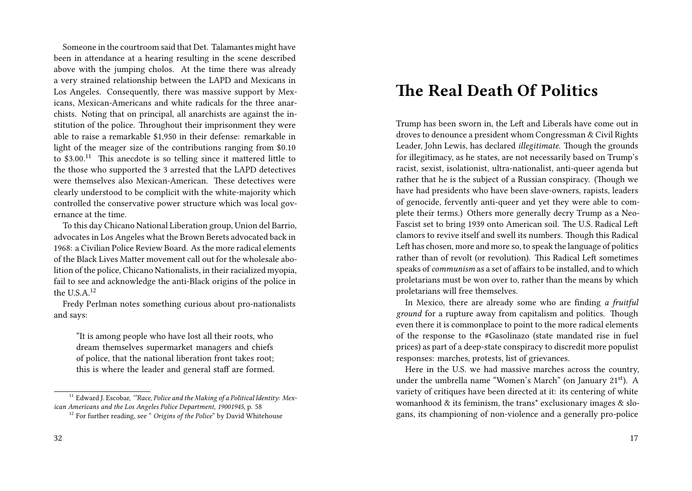Someone in the courtroom said that Det. Talamantes might have been in attendance at a hearing resulting in the scene described above with the jumping cholos. At the time there was already a very strained relationship between the LAPD and Mexicans in Los Angeles. Consequently, there was massive support by Mexicans, Mexican-Americans and white radicals for the three anarchists. Noting that on principal, all anarchists are against the institution of the police. Throughout their imprisonment they were able to raise a remarkable \$1,950 in their defense: remarkable in light of the meager size of the contributions ranging from \$0.10 to \$3.00.<sup>11</sup> This anecdote is so telling since it mattered little to the those who supported the 3 arrested that the LAPD detectives were themselves also Mexican-American. These detectives were clearly understood to be complicit with the white-majority which controlled the conservative power structure which was local governance at the time.

To this day Chicano National Liberation group, Union del Barrio, advocates in Los Angeles what the Brown Berets advocated back in 1968: a Civilian Police Review Board. As the more radical elements of the Black Lives Matter movement call out for the wholesale abolition of the police, Chicano Nationalists, in their racialized myopia, fail to see and acknowledge the anti-Black origins of the police in the  $IISA<sup>12</sup>$ 

Fredy Perlman notes something curious about pro-nationalists and says:

"It is among people who have lost all their roots, who dream themselves supermarket managers and chiefs of police, that the national liberation front takes root; this is where the leader and general staff are formed.

# **The Real Death Of Politics**

Trump has been sworn in, the Left and Liberals have come out in droves to denounce a president whom Congressman & Civil Rights Leader, John Lewis, has declared *illegitimate.* Though the grounds for illegitimacy, as he states, are not necessarily based on Trump's racist, sexist, isolationist, ultra-nationalist, anti-queer agenda but rather that he is the subject of a Russian conspiracy. (Though we have had presidents who have been slave-owners, rapists, leaders of genocide, fervently anti-queer and yet they were able to complete their terms.) Others more generally decry Trump as a Neo-Fascist set to bring 1939 onto American soil. The U.S. Radical Left clamors to revive itself and swell its numbers. Though this Radical Left has chosen, more and more so, to speak the language of politics rather than of revolt (or revolution). This Radical Left sometimes speaks of*communism* as a set of affairs to be installed, and to which proletarians must be won over to, rather than the means by which proletarians will free themselves.

In Mexico, there are already some who are finding *a fruitful ground* for a rupture away from capitalism and politics. Though even there it is commonplace to point to the more radical elements of the response to the #Gasolinazo (state mandated rise in fuel prices) as part of a deep-state conspiracy to discredit more populist responses: marches, protests, list of grievances.

Here in the U.S. we had massive marches across the country, under the umbrella name "Women's March" (on January 21<sup>st</sup>). A variety of critiques have been directed at it: its centering of white womanhood  $\&$  its feminism, the trans<sup>\*</sup> exclusionary images  $\&$  slogans, its championing of non-violence and a generally pro-police

<sup>&</sup>lt;sup>11</sup> Edward J. Escobar, "Race, Police and the Making of a Political Identity: Mex*ican Americans and the Los Angeles Police Department, 19001945,* p. 58

<sup>12</sup> For further reading, see " *Origins of the Police*" by David Whitehouse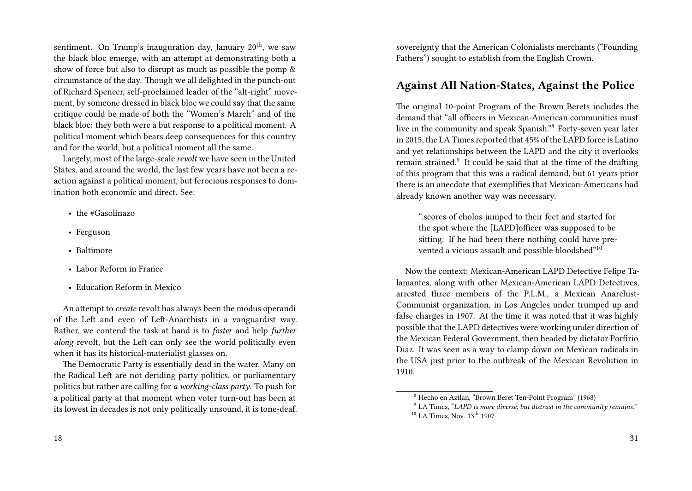sentiment. On Trump's inauguration day, January  $20<sup>th</sup>$ , we saw the black bloc emerge, with an attempt at demonstrating both a show of force but also to disrupt as much as possible the pomp & circumstance of the day. Though we all delighted in the punch-out of Richard Spencer, self-proclaimed leader of the "alt-right" movement, by someone dressed in black bloc we could say that the same critique could be made of both the "Women's March" and of the black bloc: they both were a but response to a political moment. A political moment which bears deep consequences for this country and for the world, but a political moment all the same.

Largely, most of the large-scale *revolt* we have seen in the United States, and around the world, the last few years have not been a reaction against a political moment, but ferocious responses to domination both economic and direct. See:

- the #Gasolinazo
- Ferguson
- Baltimore
- Labor Reform in France
- Education Reform in Mexico

An attempt to *create* revolt has always been the modus operandi of the Left and even of Left-Anarchists in a vanguardist way. Rather, we contend the task at hand is to *foster* and help *further along* revolt, but the Left can only see the world politically even when it has its historical-materialist glasses on.

The Democratic Party is essentially dead in the water. Many on the Radical Left are not deriding party politics, or parliamentary politics but rather are calling for *a working-class party*. To push for a political party at that moment when voter turn-out has been at its lowest in decades is not only politically unsound, it is tone-deaf. sovereignty that the American Colonialists merchants ("Founding Fathers") sought to establish from the English Crown.

### **Against All Nation-States, Against the Police**

The original 10-point Program of the Brown Berets includes the demand that "all officers in Mexican-American communities must live in the community and speak Spanish."<sup>8</sup> Forty-seven year later in 2015, the LA Times reported that 45% of the LAPD force is Latino and yet relationships between the LAPD and the city it overlooks remain strained.<sup>9</sup> It could be said that at the time of the drafting of this program that this was a radical demand, but 61 years prior there is an anecdote that exemplifies that Mexican-Americans had already known another way was necessary.

".scores of cholos jumped to their feet and started for the spot where the [LAPD]officer was supposed to be sitting. If he had been there nothing could have prevented a vicious assault and possible bloodshed"<sup>10</sup>

Now the context: Mexican-American LAPD Detective Felipe Talamantes, along with other Mexican-American LAPD Detectives, arrested three members of the P.L.M., a Mexican Anarchist-Communist organization, in Los Angeles under trumped up and false charges in 1907. At the time it was noted that it was highly possible that the LAPD detectives were working under direction of the Mexican Federal Government, then headed by dictator Porfirio Diaz. It was seen as a way to clamp down on Mexican radicals in the USA just prior to the outbreak of the Mexican Revolution in 1910.

<sup>8</sup> Hecho en Aztlan, "Brown Beret Ten-Point Program" (1968)

<sup>9</sup> LA Times, "*LAPD is more diverse, but distrust in the community remains.*"

 $10$  LA Times, Nov.  $13^{\text{th}}$  1907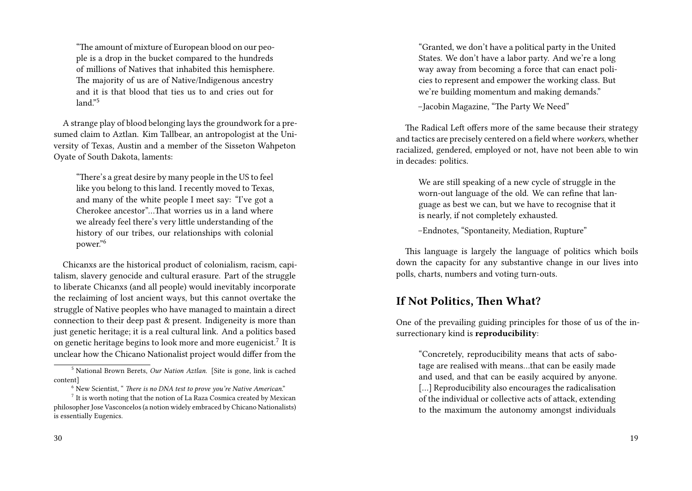"The amount of mixture of European blood on our people is a drop in the bucket compared to the hundreds of millions of Natives that inhabited this hemisphere. The majority of us are of Native/Indigenous ancestry and it is that blood that ties us to and cries out for  $land$ "5

A strange play of blood belonging lays the groundwork for a presumed claim to Aztlan. Kim Tallbear, an antropologist at the University of Texas, Austin and a member of the Sisseton Wahpeton Oyate of South Dakota, laments:

"There's a great desire by many people in the US to feel like you belong to this land. I recently moved to Texas, and many of the white people I meet say: "I've got a Cherokee ancestor"…That worries us in a land where we already feel there's very little understanding of the history of our tribes, our relationships with colonial power."<sup>6</sup>

Chicanxs are the historical product of colonialism, racism, capitalism, slavery genocide and cultural erasure. Part of the struggle to liberate Chicanxs (and all people) would inevitably incorporate the reclaiming of lost ancient ways, but this cannot overtake the struggle of Native peoples who have managed to maintain a direct connection to their deep past & present. Indigeneity is more than just genetic heritage; it is a real cultural link. And a politics based on genetic heritage begins to look more and more eugenicist.<sup>7</sup> It is unclear how the Chicano Nationalist project would differ from the

"Granted, we don't have a political party in the United States. We don't have a labor party. And we're a long way away from becoming a force that can enact policies to represent and empower the working class. But we're building momentum and making demands."

–Jacobin Magazine, "The Party We Need"

The Radical Left offers more of the same because their strategy and tactics are precisely centered on a field where *workers*, whether racialized, gendered, employed or not, have not been able to win in decades: politics.

We are still speaking of a new cycle of struggle in the worn-out language of the old. We can refine that language as best we can, but we have to recognise that it is nearly, if not completely exhausted.

–Endnotes, "Spontaneity, Mediation, Rupture"

This language is largely the language of politics which boils down the capacity for any substantive change in our lives into polls, charts, numbers and voting turn-outs.

### **If Not Politics, Then What?**

One of the prevailing guiding principles for those of us of the insurrectionary kind is **reproducibility**:

"Concretely, reproducibility means that acts of sabotage are realised with means…that can be easily made and used, and that can be easily acquired by anyone. [...] Reproducibility also encourages the radicalisation of the individual or collective acts of attack, extending to the maximum the autonomy amongst individuals

<sup>5</sup> National Brown Berets, *Our Nation Aztlan.* [Site is gone, link is cached content]

<sup>6</sup> New Scientist, " *There is no DNA test to prove you're Native American*."

 $7$  It is worth noting that the notion of La Raza Cosmica created by Mexican philosopher Jose Vasconcelos (a notion widely embraced by Chicano Nationalists) is essentially Eugenics.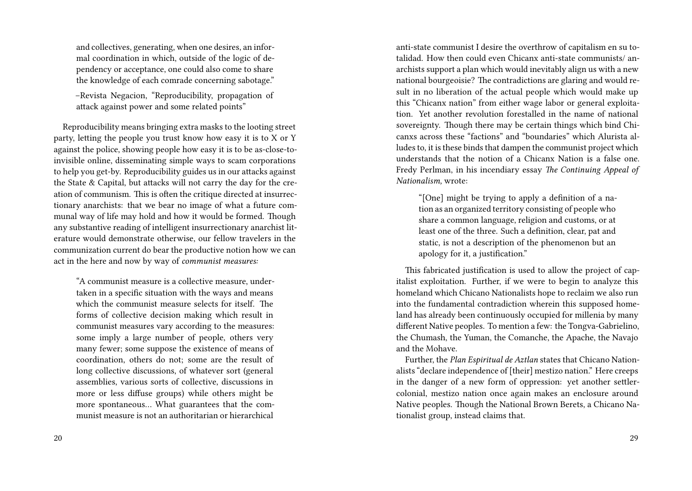and collectives, generating, when one desires, an informal coordination in which, outside of the logic of dependency or acceptance, one could also come to share the knowledge of each comrade concerning sabotage."

–Revista Negacion, "Reproducibility, propagation of attack against power and some related points"

Reproducibility means bringing extra masks to the looting street party, letting the people you trust know how easy it is to X or Y against the police, showing people how easy it is to be as-close-toinvisible online, disseminating simple ways to scam corporations to help you get-by. Reproducibility guides us in our attacks against the State & Capital, but attacks will not carry the day for the creation of communism. This is often the critique directed at insurrectionary anarchists: that we bear no image of what a future communal way of life may hold and how it would be formed. Though any substantive reading of intelligent insurrectionary anarchist literature would demonstrate otherwise, our fellow travelers in the communization current do bear the productive notion how we can act in the here and now by way of *communist measures:*

"A communist measure is a collective measure, undertaken in a specific situation with the ways and means which the communist measure selects for itself. The forms of collective decision making which result in communist measures vary according to the measures: some imply a large number of people, others very many fewer; some suppose the existence of means of coordination, others do not; some are the result of long collective discussions, of whatever sort (general assemblies, various sorts of collective, discussions in more or less diffuse groups) while others might be more spontaneous… What guarantees that the communist measure is not an authoritarian or hierarchical

anti-state communist I desire the overthrow of capitalism en su totalidad. How then could even Chicanx anti-state communists/ anarchists support a plan which would inevitably align us with a new national bourgeoisie? The contradictions are glaring and would result in no liberation of the actual people which would make up this "Chicanx nation" from either wage labor or general exploitation. Yet another revolution forestalled in the name of national sovereignty. Though there may be certain things which bind Chicanxs across these "factions" and "boundaries" which Alurista alludes to, it is these binds that dampen the communist project which understands that the notion of a Chicanx Nation is a false one. Fredy Perlman, in his incendiary essay *The Continuing Appeal of Nationalism,* wrote:

"[One] might be trying to apply a definition of a nation as an organized territory consisting of people who share a common language, religion and customs, or at least one of the three. Such a definition, clear, pat and static, is not a description of the phenomenon but an apology for it, a justification."

This fabricated justification is used to allow the project of capitalist exploitation. Further, if we were to begin to analyze this homeland which Chicano Nationalists hope to reclaim we also run into the fundamental contradiction wherein this supposed homeland has already been continuously occupied for millenia by many different Native peoples. To mention a few: the Tongva-Gabrielino, the Chumash, the Yuman, the Comanche, the Apache, the Navajo and the Mohave.

Further, the *Plan Espiritual de Aztlan* states that Chicano Nationalists "declare independence of [their] mestizo nation." Here creeps in the danger of a new form of oppression: yet another settlercolonial, mestizo nation once again makes an enclosure around Native peoples. Though the National Brown Berets, a Chicano Nationalist group, instead claims that.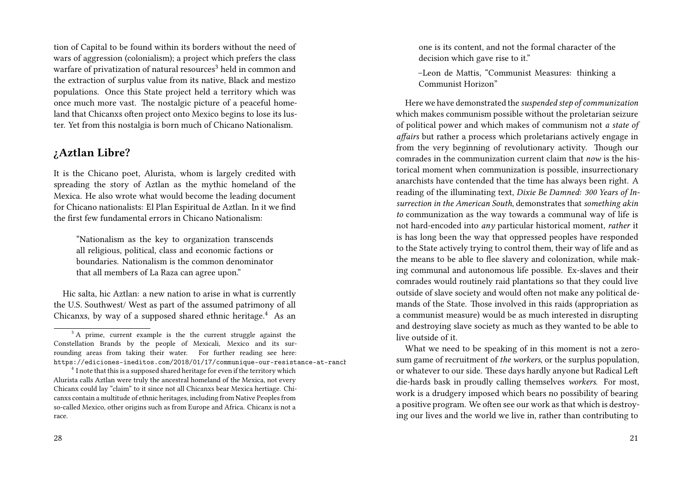tion of Capital to be found within its borders without the need of wars of aggression (colonialism); a project which prefers the class warfare of privatization of natural resources<sup>3</sup> held in common and the extraction of surplus value from its native, Black and mestizo populations. Once this State project held a territory which was once much more vast. The nostalgic picture of a peaceful homeland that Chicanxs often project onto Mexico begins to lose its luster. Yet from this nostalgia is born much of Chicano Nationalism.

### **¿Aztlan Libre?**

It is the Chicano poet, Alurista, whom is largely credited with spreading the story of Aztlan as the mythic homeland of the Mexica. He also wrote what would become the leading document for Chicano nationalists: El Plan Espiritual de Aztlan. In it we find the first few fundamental errors in Chicano Nationalism:

"Nationalism as the key to organization transcends all religious, political, class and economic factions or boundaries. Nationalism is the common denominator that all members of La Raza can agree upon."

Hic salta, hic Aztlan: a new nation to arise in what is currently the U.S. Southwest/ West as part of the assumed patrimony of all Chicanxs, by way of a supposed shared ethnic heritage. $4$  As an

one is its content, and not the formal character of the decision which gave rise to it."

–Leon de Mattis, "Communist Measures: thinking a Communist Horizon"

Here we have demonstrated the *suspended step of communization* which makes communism possible without the proletarian seizure of political power and which makes of communism not *a state of affairs* but rather a process which proletarians actively engage in from the very beginning of revolutionary activity. Though our comrades in the communization current claim that *now* is the historical moment when communization is possible, insurrectionary anarchists have contended that the time has always been right. A reading of the illuminating text, *Dixie Be Damned: 300 Years of Insurrection in the American South*, demonstrates that *something akin to* communization as the way towards a communal way of life is not hard-encoded into *any* particular historical moment, *rather* it is has long been the way that oppressed peoples have responded to the State actively trying to control them, their way of life and as the means to be able to flee slavery and colonization, while making communal and autonomous life possible. Ex-slaves and their comrades would routinely raid plantations so that they could live outside of slave society and would often not make any political demands of the State. Those involved in this raids (appropriation as a communist measure) would be as much interested in disrupting and destroying slave society as much as they wanted to be able to live outside of it.

What we need to be speaking of in this moment is not a zerosum game of recruitment of *the workers*, or the surplus population, or whatever to our side. These days hardly anyone but Radical Left die-hards bask in proudly calling themselves *workers.* For most, work is a drudgery imposed which bears no possibility of bearing a positive program. We often see our work as that which is destroying our lives and the world we live in, rather than contributing to

<sup>&</sup>lt;sup>3</sup> A prime, current example is the the current struggle against the Constellation Brands by the people of Mexicali, Mexico and its surrounding areas from taking their water. For further reading see here: https://ediciones-ineditos.com/2018/01/17/communique-our-resistance-at-rancho-

 $^4$  I note that this is a supposed shared heritage for even if the territory which Alurista calls Aztlan were truly the ancestral homeland of the Mexica, not every Chicanx could lay "claim" to it since not all Chicanxs bear Mexica hertiage. Chicanxs contain a multitude of ethnic heritages, including from Native Peoples from so-called Mexico, other origins such as from Europe and Africa. Chicanx is not a race.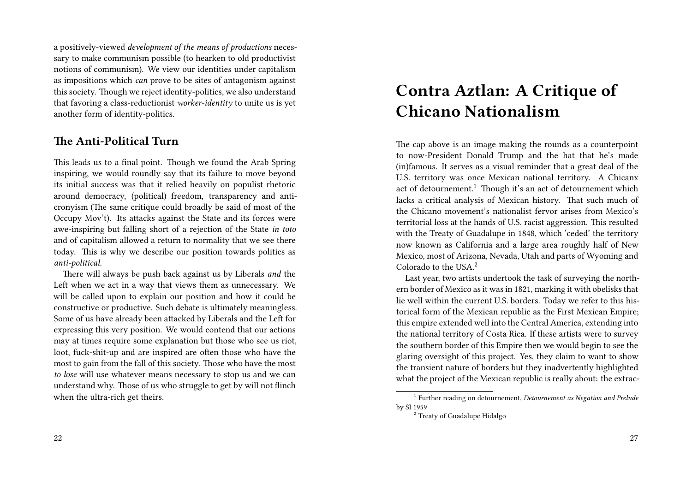a positively-viewed *development of the means of productions* necessary to make communism possible (to hearken to old productivist notions of communism). We view our identities under capitalism as impositions which *can* prove to be sites of antagonism against this society. Though we reject identity-politics, we also understand that favoring a class-reductionist *worker-identity* to unite us is yet another form of identity-politics.

### **The Anti-Political Turn**

This leads us to a final point. Though we found the Arab Spring inspiring, we would roundly say that its failure to move beyond its initial success was that it relied heavily on populist rhetoric around democracy, (political) freedom, transparency and anticronyism (The same critique could broadly be said of most of the Occupy Mov't). Its attacks against the State and its forces were awe-inspiring but falling short of a rejection of the State *in toto* and of capitalism allowed a return to normality that we see there today. This is why we describe our position towards politics as *anti-political.*

There will always be push back against us by Liberals *and* the Left when we act in a way that views them as unnecessary. We will be called upon to explain our position and how it could be constructive or productive. Such debate is ultimately meaningless. Some of us have already been attacked by Liberals and the Left for expressing this very position. We would contend that our actions may at times require some explanation but those who see us riot, loot, fuck-shit-up and are inspired are often those who have the most to gain from the fall of this society. Those who have the most *to lose* will use whatever means necessary to stop us and we can understand why. Those of us who struggle to get by will not flinch when the ultra-rich get theirs.

# **Contra Aztlan: A Critique of Chicano Nationalism**

The cap above is an image making the rounds as a counterpoint to now-President Donald Trump and the hat that he's made (in)famous. It serves as a visual reminder that a great deal of the U.S. territory was once Mexican national territory. A Chicanx act of detournement.<sup>1</sup> Though it's an act of detournement which lacks a critical analysis of Mexican history. That such much of the Chicano movement's nationalist fervor arises from Mexico's territorial loss at the hands of U.S. racist aggression. This resulted with the Treaty of Guadalupe in 1848, which 'ceded' the territory now known as California and a large area roughly half of New Mexico, most of Arizona, Nevada, Utah and parts of Wyoming and Colorado to the USA.<sup>2</sup>

Last year, two artists undertook the task of surveying the northern border of Mexico as it was in 1821, marking it with obelisks that lie well within the current U.S. borders. Today we refer to this historical form of the Mexican republic as the First Mexican Empire; this empire extended well into the Central America, extending into the national territory of Costa Rica. If these artists were to survey the southern border of this Empire then we would begin to see the glaring oversight of this project. Yes, they claim to want to show the transient nature of borders but they inadvertently highlighted what the project of the Mexican republic is really about: the extrac-

<sup>&</sup>lt;sup>1</sup> Further reading on detournement, *Detournement as Negation and Prelude* by SI 1959

<sup>2</sup> Treaty of Guadalupe Hidalgo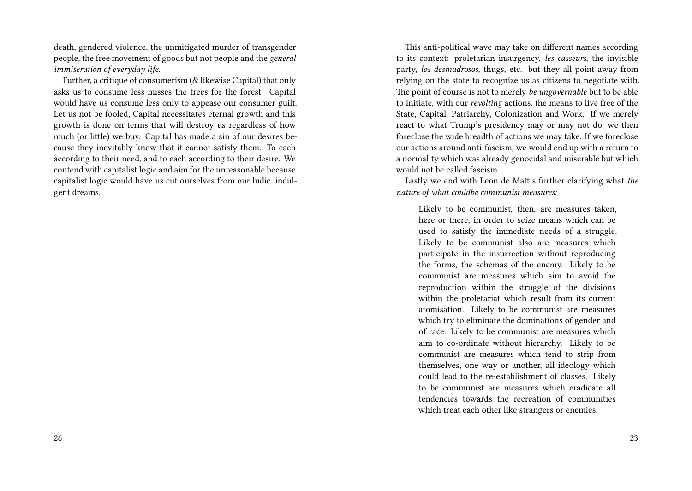death, gendered violence, the unmitigated murder of transgender people, the free movement of goods but not people and the *general immiseration of everyday life.*

Further, a critique of consumerism (& likewise Capital) that only asks us to consume less misses the trees for the forest. Capital would have us consume less only to appease our consumer guilt. Let us not be fooled, Capital necessitates eternal growth and this growth is done on terms that will destroy us regardless of how much (or little) we buy. Capital has made a sin of our desires because they inevitably know that it cannot satisfy them. To each according to their need, and to each according to their desire. We contend with capitalist logic and aim for the unreasonable because capitalist logic would have us cut ourselves from our ludic, indulgent dreams.

This anti-political wave may take on different names according to its context: proletarian insurgency, *les casseurs*, the invisible party, *los desmadrosos,* thugs, etc. but they all point away from relying on the state to recognize us as citizens to negotiate with. The point of course is not to merely *be ungovernable* but to be able to initiate, with our *revolting* actions, the means to live free of the State, Capital, Patriarchy, Colonization and Work. If we merely react to what Trump's presidency may or may not do, we then foreclose the wide breadth of actions we may take. If we foreclose our actions around anti-fascism, we would end up with a return to a normality which was already genocidal and miserable but which would not be called fascism.

Lastly we end with Leon de Mattis further clarifying what *the nature of what couldbe communist measures:*

Likely to be communist, then, are measures taken, here or there, in order to seize means which can be used to satisfy the immediate needs of a struggle. Likely to be communist also are measures which participate in the insurrection without reproducing the forms, the schemas of the enemy. Likely to be communist are measures which aim to avoid the reproduction within the struggle of the divisions within the proletariat which result from its current atomisation. Likely to be communist are measures which try to eliminate the dominations of gender and of race. Likely to be communist are measures which aim to co-ordinate without hierarchy. Likely to be communist are measures which tend to strip from themselves, one way or another, all ideology which could lead to the re-establishment of classes. Likely to be communist are measures which eradicate all tendencies towards the recreation of communities which treat each other like strangers or enemies.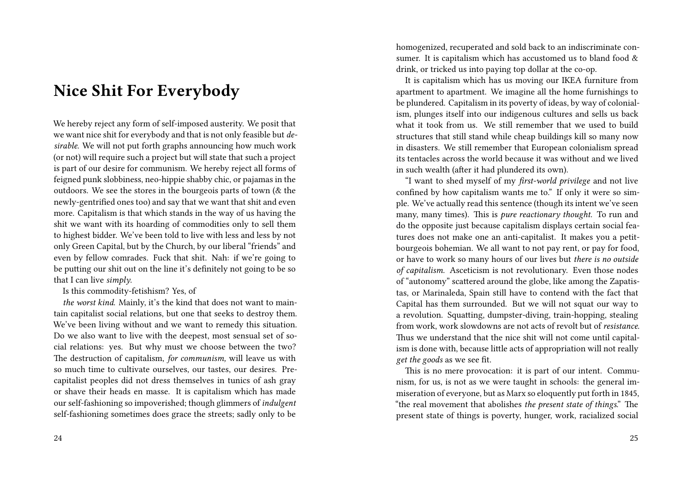## **Nice Shit For Everybody**

We hereby reject any form of self-imposed austerity. We posit that we want nice shit for everybody and that is not only feasible but *desirable*. We will not put forth graphs announcing how much work (or not) will require such a project but will state that such a project is part of our desire for communism. We hereby reject all forms of feigned punk slobbiness, neo-hippie shabby chic, or pajamas in the outdoors. We see the stores in the bourgeois parts of town (& the newly-gentrified ones too) and say that we want that shit and even more. Capitalism is that which stands in the way of us having the shit we want with its hoarding of commodities only to sell them to highest bidder. We've been told to live with less and less by not only Green Capital, but by the Church, by our liberal "friends" and even by fellow comrades. Fuck that shit. Nah: if we're going to be putting our shit out on the line it's definitely not going to be so that I can live *simply*.

Is this commodity-fetishism? Yes, of

*the worst kind*. Mainly, it's the kind that does not want to maintain capitalist social relations, but one that seeks to destroy them. We've been living without and we want to remedy this situation. Do we also want to live with the deepest, most sensual set of social relations: yes. But why must we choose between the two? The destruction of capitalism, *for communism,* will leave us with so much time to cultivate ourselves, our tastes, our desires. Precapitalist peoples did not dress themselves in tunics of ash gray or shave their heads en masse. It is capitalism which has made our self-fashioning so impoverished; though glimmers of *indulgent* self-fashioning sometimes does grace the streets; sadly only to be homogenized, recuperated and sold back to an indiscriminate consumer. It is capitalism which has accustomed us to bland food & drink, or tricked us into paying top dollar at the co-op.

It is capitalism which has us moving our IKEA furniture from apartment to apartment. We imagine all the home furnishings to be plundered. Capitalism in its poverty of ideas, by way of colonialism, plunges itself into our indigenous cultures and sells us back what it took from us. We still remember that we used to build structures that still stand while cheap buildings kill so many now in disasters. We still remember that European colonialism spread its tentacles across the world because it was without and we lived in such wealth (after it had plundered its own).

"I want to shed myself of my *first-world privilege* and not live confined by how capitalism wants me to." If only it were so simple. We've actually read this sentence (though its intent we've seen many, many times). This is *pure reactionary thought.* To run and do the opposite just because capitalism displays certain social features does not make one an anti-capitalist. It makes you a petitbourgeois bohemian. We all want to not pay rent, or pay for food, or have to work so many hours of our lives but *there is no outside of capitalism.* Asceticism is not revolutionary. Even those nodes of "autonomy" scattered around the globe, like among the Zapatistas, or Marinaleda, Spain still have to contend with the fact that Capital has them surrounded. But we will not squat our way to a revolution. Squatting, dumpster-diving, train-hopping, stealing from work, work slowdowns are not acts of revolt but of *resistance.* Thus we understand that the nice shit will not come until capitalism is done with, because little acts of appropriation will not really *get the goods* as we see fit.

This is no mere provocation: it is part of our intent. Communism, for us, is not as we were taught in schools: the general immiseration of everyone, but as Marx so eloquently put forth in 1845, "the real movement that abolishes *the present state of things*." The present state of things is poverty, hunger, work, racialized social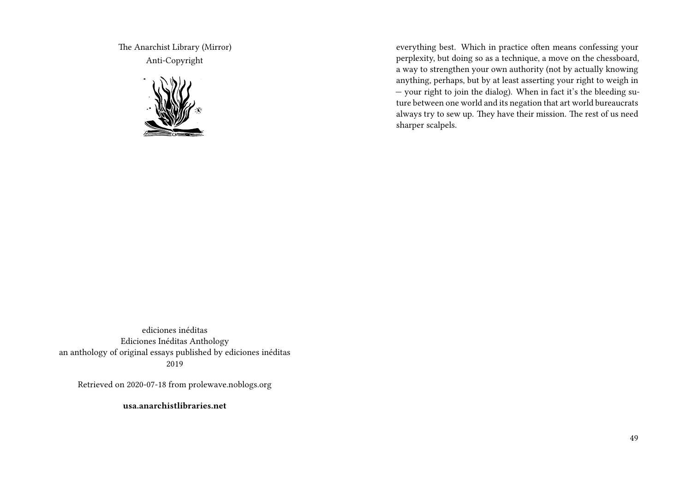The Anarchist Library (Mirror) Anti-Copyright



everything best. Which in practice often means confessing your perplexity, but doing so as a technique, a move on the chessboard, a way to strengthen your own authority (not by actually knowing anything, perhaps, but by at least asserting your right to weigh in — your right to join the dialog). When in fact it's the bleeding suture between one world and its negation that art world bureaucrats always try to sew up. They have their mission. The rest of us need sharper scalpels.

ediciones inéditas Ediciones Inéditas Anthology an anthology of original essays published by ediciones inéditas 2019

Retrieved on 2020-07-18 from prolewave.noblogs.org

**usa.anarchistlibraries.net**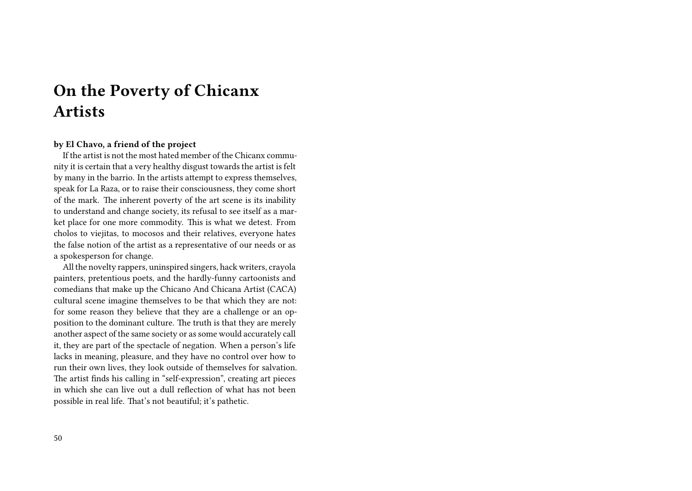# **On the Poverty of Chicanx Artists**

#### **by El Chavo, a friend of the project**

If the artist is not the most hated member of the Chicanx community it is certain that a very healthy disgust towards the artist is felt by many in the barrio. In the artists attempt to express themselves, speak for La Raza, or to raise their consciousness, they come short of the mark. The inherent poverty of the art scene is its inability to understand and change society, its refusal to see itself as a market place for one more commodity. This is what we detest. From cholos to viejitas, to mocosos and their relatives, everyone hates the false notion of the artist as a representative of our needs or as a spokesperson for change.

All the novelty rappers, uninspired singers, hack writers, crayola painters, pretentious poets, and the hardly-funny cartoonists and comedians that make up the Chicano And Chicana Artist (CACA) cultural scene imagine themselves to be that which they are not: for some reason they believe that they are a challenge or an opposition to the dominant culture. The truth is that they are merely another aspect of the same society or as some would accurately call it, they are part of the spectacle of negation. When a person's life lacks in meaning, pleasure, and they have no control over how to run their own lives, they look outside of themselves for salvation. The artist finds his calling in "self-expression", creating art pieces in which she can live out a dull reflection of what has not been possible in real life. That's not beautiful; it's pathetic.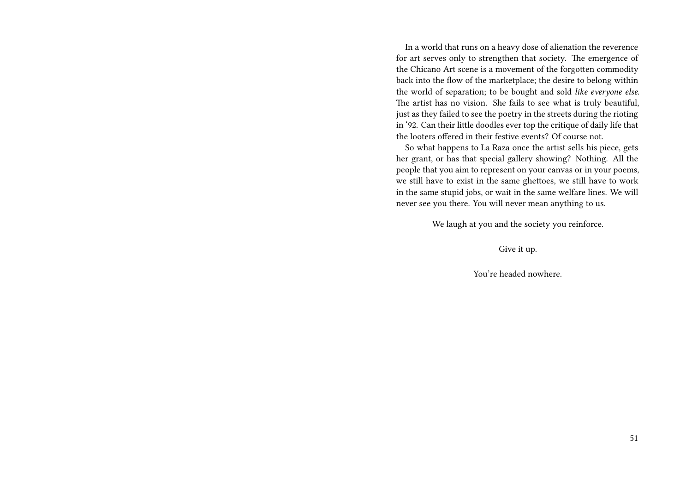In a world that runs on a heavy dose of alienation the reverence for art serves only to strengthen that society. The emergence of the Chicano Art scene is a movement of the forgotten commodity back into the flow of the marketplace; the desire to belong within the world of separation; to be bought and sold *like everyone else*. The artist has no vision. She fails to see what is truly beautiful, just as they failed to see the poetry in the streets during the rioting in '92. Can their little doodles ever top the critique of daily life that the looters offered in their festive events? Of course not.

So what happens to La Raza once the artist sells his piece, gets her grant, or has that special gallery showing? Nothing. All the people that you aim to represent on your canvas or in your poems, we still have to exist in the same ghettoes, we still have to work in the same stupid jobs, or wait in the same welfare lines. We will never see you there. You will never mean anything to us.

We laugh at you and the society you reinforce.

Give it up.

You're headed nowhere.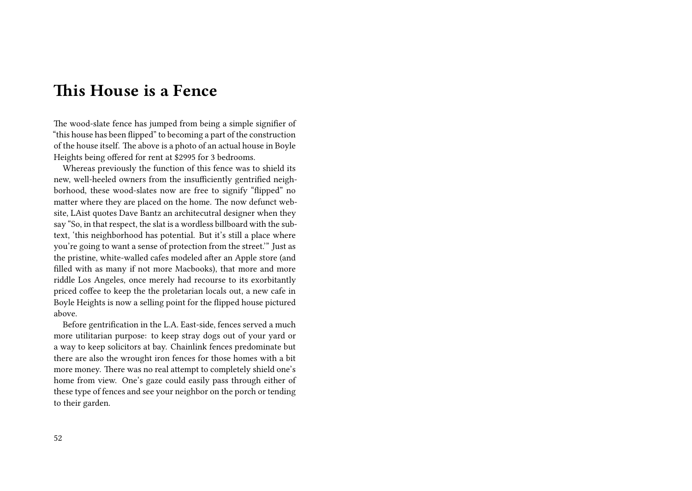## **This House is a Fence**

The wood-slate fence has jumped from being a simple signifier of "this house has been flipped" to becoming a part of the construction of the house itself. The above is a photo of an actual house in Boyle Heights being offered for rent at \$2995 for 3 bedrooms.

Whereas previously the function of this fence was to shield its new, well-heeled owners from the insufficiently gentrified neighborhood, these wood-slates now are free to signify "flipped" no matter where they are placed on the home. The now defunct website, LAist quotes Dave Bantz an architecutral designer when they say "So, in that respect, the slat is a wordless billboard with the subtext, 'this neighborhood has potential. But it's still a place where you're going to want a sense of protection from the street.'" Just as the pristine, white-walled cafes modeled after an Apple store (and filled with as many if not more Macbooks), that more and more riddle Los Angeles, once merely had recourse to its exorbitantly priced coffee to keep the the proletarian locals out, a new cafe in Boyle Heights is now a selling point for the flipped house pictured above.

Before gentrification in the L.A. East-side, fences served a much more utilitarian purpose: to keep stray dogs out of your yard or a way to keep solicitors at bay. Chainlink fences predominate but there are also the wrought iron fences for those homes with a bit more money. There was no real attempt to completely shield one's home from view. One's gaze could easily pass through either of these type of fences and see your neighbor on the porch or tending to their garden.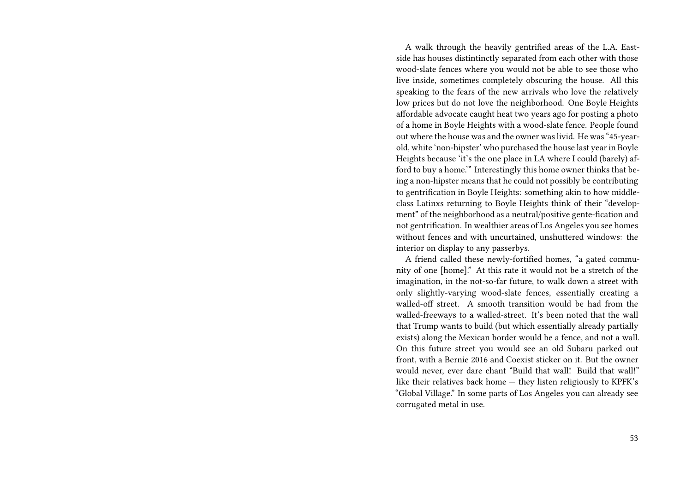A walk through the heavily gentrified areas of the L.A. Eastside has houses distintinctly separated from each other with those wood-slate fences where you would not be able to see those who live inside, sometimes completely obscuring the house. All this speaking to the fears of the new arrivals who love the relatively low prices but do not love the neighborhood. One Boyle Heights affordable advocate caught heat two years ago for posting a photo of a home in Boyle Heights with a wood-slate fence. People found out where the house was and the owner was livid. He was "45-yearold, white 'non-hipster' who purchased the house last year in Boyle Heights because 'it's the one place in LA where I could (barely) afford to buy a home.'" Interestingly this home owner thinks that being a non-hipster means that he could not possibly be contributing to gentrification in Boyle Heights: something akin to how middleclass Latinxs returning to Boyle Heights think of their "development" of the neighborhood as a neutral/positive gente-fication and not gentrification. In wealthier areas of Los Angeles you see homes without fences and with uncurtained, unshuttered windows: the interior on display to any passerbys.

A friend called these newly-fortified homes, "a gated community of one [home]." At this rate it would not be a stretch of the imagination, in the not-so-far future, to walk down a street with only slightly-varying wood-slate fences, essentially creating a walled-off street. A smooth transition would be had from the walled-freeways to a walled-street. It's been noted that the wall that Trump wants to build (but which essentially already partially exists) along the Mexican border would be a fence, and not a wall. On this future street you would see an old Subaru parked out front, with a Bernie 2016 and Coexist sticker on it. But the owner would never, ever dare chant "Build that wall! Build that wall!" like their relatives back home — they listen religiously to KPFK's "Global Village." In some parts of Los Angeles you can already see corrugated metal in use.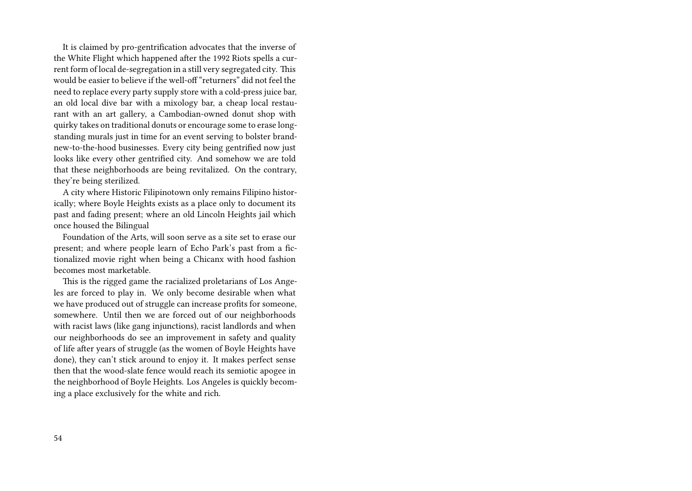It is claimed by pro-gentrification advocates that the inverse of the White Flight which happened after the 1992 Riots spells a current form of local de-segregation in a still very segregated city. This would be easier to believe if the well-off "returners" did not feel the need to replace every party supply store with a cold-press juice bar, an old local dive bar with a mixology bar, a cheap local restaurant with an art gallery, a Cambodian-owned donut shop with quirky takes on traditional donuts or encourage some to erase longstanding murals just in time for an event serving to bolster brandnew-to-the-hood businesses. Every city being gentrified now just looks like every other gentrified city. And somehow we are told that these neighborhoods are being revitalized. On the contrary, they're being sterilized.

A city where Historic Filipinotown only remains Filipino historically; where Boyle Heights exists as a place only to document its past and fading present; where an old Lincoln Heights jail which once housed the Bilingual

Foundation of the Arts, will soon serve as a site set to erase our present; and where people learn of Echo Park's past from a fictionalized movie right when being a Chicanx with hood fashion becomes most marketable.

This is the rigged game the racialized proletarians of Los Angeles are forced to play in. We only become desirable when what we have produced out of struggle can increase profits for someone, somewhere. Until then we are forced out of our neighborhoods with racist laws (like gang injunctions), racist landlords and when our neighborhoods do see an improvement in safety and quality of life after years of struggle (as the women of Boyle Heights have done), they can't stick around to enjoy it. It makes perfect sense then that the wood-slate fence would reach its semiotic apogee in the neighborhood of Boyle Heights. Los Angeles is quickly becoming a place exclusively for the white and rich.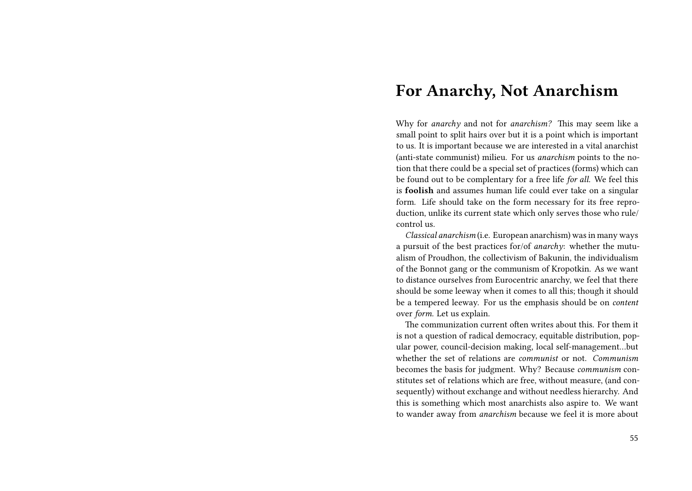## **For Anarchy, Not Anarchism**

Why for *anarchy* and not for *anarchism?* This may seem like a small point to split hairs over but it is a point which is important to us. It is important because we are interested in a vital anarchist (anti-state communist) milieu. For us *anarchism* points to the notion that there could be a special set of practices (forms) which can be found out to be complentary for a free life *for all.* We feel this is **foolish** and assumes human life could ever take on a singular form. Life should take on the form necessary for its free reproduction, unlike its current state which only serves those who rule/ control us.

*Classical anarchism* (i.e. European anarchism) was in many ways a pursuit of the best practices for/of *anarchy*: whether the mutualism of Proudhon, the collectivism of Bakunin, the individualism of the Bonnot gang or the communism of Kropotkin. As we want to distance ourselves from Eurocentric anarchy, we feel that there should be some leeway when it comes to all this; though it should be a tempered leeway. For us the emphasis should be on *content* over *form.* Let us explain.

The communization current often writes about this. For them it is not a question of radical democracy, equitable distribution, popular power, council-decision making, local self-management…but whether the set of relations are *communist* or not. *Communism* becomes the basis for judgment. Why? Because *communism* constitutes set of relations which are free, without measure, (and consequently) without exchange and without needless hierarchy. And this is something which most anarchists also aspire to. We want to wander away from *anarchism* because we feel it is more about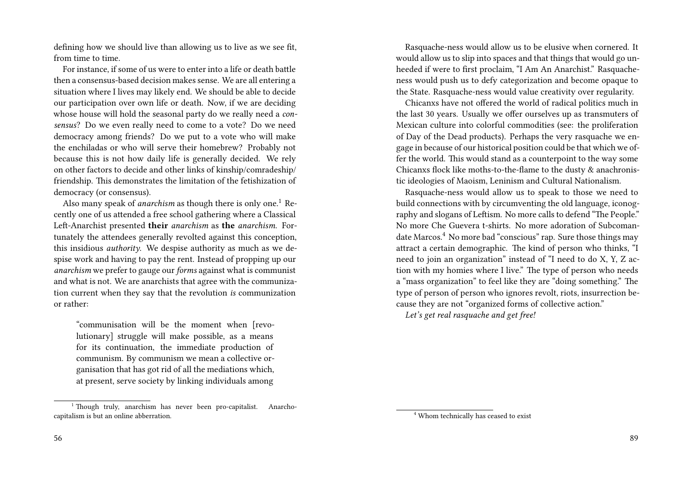defining how we should live than allowing us to live as we see fit, from time to time.

For instance, if some of us were to enter into a life or death battle then a consensus-based decision makes sense. We are all entering a situation where I lives may likely end. We should be able to decide our participation over own life or death. Now, if we are deciding whose house will hold the seasonal party do we really need a *consensus*? Do we even really need to come to a vote? Do we need democracy among friends? Do we put to a vote who will make the enchiladas or who will serve their homebrew? Probably not because this is not how daily life is generally decided. We rely on other factors to decide and other links of kinship/comradeship/ friendship. This demonstrates the limitation of the fetishization of democracy (or consensus).

Also many speak of *anarchism* as though there is only one.<sup>1</sup> Recently one of us attended a free school gathering where a Classical Left-Anarchist presented **their** *anarchism* as **the** *anarchism.* Fortunately the attendees generally revolted against this conception, this insidious *authority*. We despise authority as much as we despise work and having to pay the rent. Instead of propping up our *anarchism* we prefer to gauge our *forms* against what is communist and what is not. We are anarchists that agree with the communization current when they say that the revolution *is* communization or rather:

"communisation will be the moment when [revolutionary] struggle will make possible, as a means for its continuation, the immediate production of communism. By communism we mean a collective organisation that has got rid of all the mediations which, at present, serve society by linking individuals among

Rasquache-ness would allow us to be elusive when cornered. It would allow us to slip into spaces and that things that would go unheeded if were to first proclaim, "I Am An Anarchist." Rasquacheness would push us to defy categorization and become opaque to the State. Rasquache-ness would value creativity over regularity.

Chicanxs have not offered the world of radical politics much in the last 30 years. Usually we offer ourselves up as transmuters of Mexican culture into colorful commodities (see: the proliferation of Day of the Dead products). Perhaps the very rasquache we engage in because of our historical position could be that which we offer the world. This would stand as a counterpoint to the way some Chicanxs flock like moths-to-the-flame to the dusty & anachronistic ideologies of Maoism, Leninism and Cultural Nationalism.

Rasquache-ness would allow us to speak to those we need to build connections with by circumventing the old language, iconography and slogans of Leftism. No more calls to defend "The People." No more Che Guevera t-shirts. No more adoration of Subcomandate Marcos.<sup>4</sup> No more bad "conscious" rap. Sure those things may attract a certain demographic. The kind of person who thinks, "I need to join an organization" instead of "I need to do X, Y, Z action with my homies where I live." The type of person who needs a "mass organization" to feel like they are "doing something." The type of person of person who ignores revolt, riots, insurrection because they are not "organized forms of collective action."

*Let's get real rasquache and get free!*

<sup>1</sup> Though truly, anarchism has never been pro-capitalist. Anarchocapitalism is but an online abberration.

<sup>4</sup> Whom technically has ceased to exist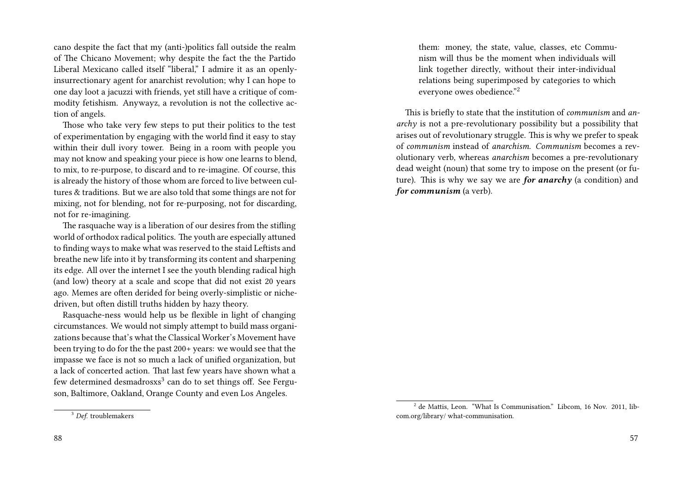cano despite the fact that my (anti-)politics fall outside the realm of The Chicano Movement; why despite the fact the the Partido Liberal Mexicano called itself "liberal," I admire it as an openlyinsurrectionary agent for anarchist revolution; why I can hope to one day loot a jacuzzi with friends, yet still have a critique of commodity fetishism. Anywayz, a revolution is not the collective action of angels.

Those who take very few steps to put their politics to the test of experimentation by engaging with the world find it easy to stay within their dull ivory tower. Being in a room with people you may not know and speaking your piece is how one learns to blend, to mix, to re-purpose, to discard and to re-imagine. Of course, this is already the history of those whom are forced to live between cultures & traditions. But we are also told that some things are not for mixing, not for blending, not for re-purposing, not for discarding, not for re-imagining.

The rasquache way is a liberation of our desires from the stifling world of orthodox radical politics. The youth are especially attuned to finding ways to make what was reserved to the staid Leftists and breathe new life into it by transforming its content and sharpening its edge. All over the internet I see the youth blending radical high (and low) theory at a scale and scope that did not exist 20 years ago. Memes are often derided for being overly-simplistic or nichedriven, but often distill truths hidden by hazy theory.

Rasquache-ness would help us be flexible in light of changing circumstances. We would not simply attempt to build mass organizations because that's what the Classical Worker's Movement have been trying to do for the the past 200+ years: we would see that the impasse we face is not so much a lack of unified organization, but a lack of concerted action. That last few years have shown what a few determined desmadrosxs<sup>3</sup> can do to set things off. See Ferguson, Baltimore, Oakland, Orange County and even Los Angeles.

them: money, the state, value, classes, etc Communism will thus be the moment when individuals will link together directly, without their inter-individual relations being superimposed by categories to which everyone owes obedience."<sup>2</sup>

This is briefly to state that the institution of *communism* and *anarchy* is not a pre-revolutionary possibility but a possibility that arises out of revolutionary struggle. This is why we prefer to speak of *communism* instead of *anarchism*. *Communism* becomes a revolutionary verb, whereas *anarchism* becomes a pre-revolutionary dead weight (noun) that some try to impose on the present (or future). This is why we say we are *for anarchy* (a condition) and *for communism* (a verb).

<sup>3</sup> *Def.* troublemakers

<sup>2</sup> de Mattis, Leon. "What Is Communisation." Libcom, 16 Nov. 2011, libcom.org/library/ what-communisation.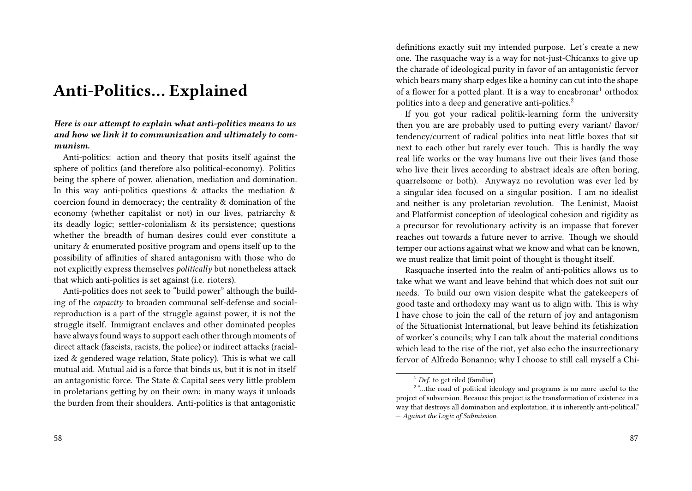## **Anti-Politics… Explained**

#### *Here is our attempt to explain what anti-politics means to us and how we link it to communization and ultimately to communism.*

Anti-politics: action and theory that posits itself against the sphere of politics (and therefore also political-economy). Politics being the sphere of power, alienation, mediation and domination. In this way anti-politics questions  $\&$  attacks the mediation  $\&$ coercion found in democracy; the centrality & domination of the economy (whether capitalist or not) in our lives, patriarchy & its deadly logic; settler-colonialism & its persistence; questions whether the breadth of human desires could ever constitute a unitary & enumerated positive program and opens itself up to the possibility of affinities of shared antagonism with those who do not explicitly express themselves *politically* but nonetheless attack that which anti-politics is set against (i.e. rioters).

Anti-politics does not seek to "build power" although the building of the *capacity* to broaden communal self-defense and socialreproduction is a part of the struggle against power, it is not the struggle itself. Immigrant enclaves and other dominated peoples have always found ways to support each other through moments of direct attack (fascists, racists, the police) or indirect attacks (racialized & gendered wage relation, State policy). This is what we call mutual aid. Mutual aid is a force that binds us, but it is not in itself an antagonistic force. The State & Capital sees very little problem in proletarians getting by on their own: in many ways it unloads the burden from their shoulders. Anti-politics is that antagonistic definitions exactly suit my intended purpose. Let's create a new one. The rasquache way is a way for not-just-Chicanxs to give up the charade of ideological purity in favor of an antagonistic fervor which bears many sharp edges like a hominy can cut into the shape of a flower for a potted plant. It is a way to encabronar<sup>1</sup> orthodox politics into a deep and generative anti-politics.<sup>2</sup>

If you got your radical politik-learning form the university then you are are probably used to putting every variant/ flavor/ tendency/current of radical politics into neat little boxes that sit next to each other but rarely ever touch. This is hardly the way real life works or the way humans live out their lives (and those who live their lives according to abstract ideals are often boring, quarrelsome or both). Anywayz no revolution was ever led by a singular idea focused on a singular position. I am no idealist and neither is any proletarian revolution. The Leninist, Maoist and Platformist conception of ideological cohesion and rigidity as a precursor for revolutionary activity is an impasse that forever reaches out towards a future never to arrive. Though we should temper our actions against what we know and what can be known, we must realize that limit point of thought is thought itself.

Rasquache inserted into the realm of anti-politics allows us to take what we want and leave behind that which does not suit our needs. To build our own vision despite what the gatekeepers of good taste and orthodoxy may want us to align with. This is why I have chose to join the call of the return of joy and antagonism of the Situationist International, but leave behind its fetishization of worker's councils; why I can talk about the material conditions which lead to the rise of the riot, yet also echo the insurrectionary fervor of Alfredo Bonanno; why I choose to still call myself a Chi-

<sup>&</sup>lt;sup>1</sup> *Def.* to get riled (familiar)

<sup>&</sup>lt;sup>2</sup> "...the road of political ideology and programs is no more useful to the project of subversion. Because this project is the transformation of existence in a way that destroys all domination and exploitation, it is inherently anti-political." — *Against the Logic of Submission.*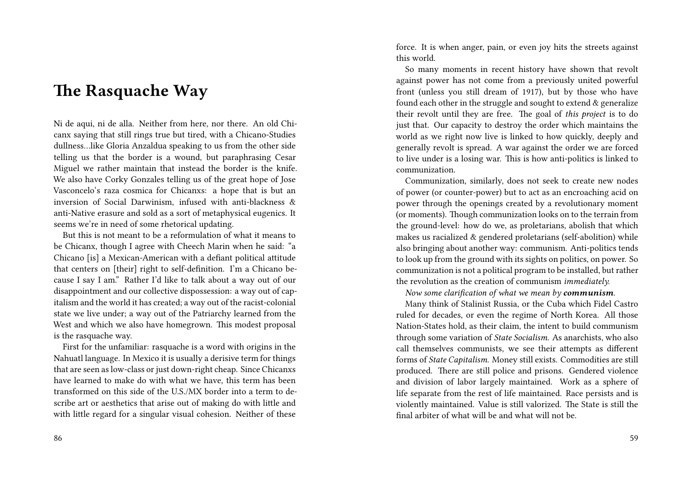## **The Rasquache Way**

Ni de aqui, ni de alla. Neither from here, nor there. An old Chicanx saying that still rings true but tired, with a Chicano-Studies dullness…like Gloria Anzaldua speaking to us from the other side telling us that the border is a wound, but paraphrasing Cesar Miguel we rather maintain that instead the border is the knife. We also have Corky Gonzales telling us of the great hope of Jose Vasconcelo's raza cosmica for Chicanxs: a hope that is but an inversion of Social Darwinism, infused with anti-blackness & anti-Native erasure and sold as a sort of metaphysical eugenics. It seems we're in need of some rhetorical updating.

But this is not meant to be a reformulation of what it means to be Chicanx, though I agree with Cheech Marin when he said: "a Chicano [is] a Mexican-American with a defiant political attitude that centers on [their] right to self-definition. I'm a Chicano because I say I am." Rather I'd like to talk about a way out of our disappointment and our collective dispossession: a way out of capitalism and the world it has created; a way out of the racist-colonial state we live under; a way out of the Patriarchy learned from the West and which we also have homegrown. This modest proposal is the rasquache way.

First for the unfamiliar: rasquache is a word with origins in the Nahuatl language. In Mexico it is usually a derisive term for things that are seen as low-class or just down-right cheap. Since Chicanxs have learned to make do with what we have, this term has been transformed on this side of the U.S./MX border into a term to describe art or aesthetics that arise out of making do with little and with little regard for a singular visual cohesion. Neither of these force. It is when anger, pain, or even joy hits the streets against this world.

So many moments in recent history have shown that revolt against power has not come from a previously united powerful front (unless you still dream of 1917), but by those who have found each other in the struggle and sought to extend & generalize their revolt until they are free. The goal of *this project* is to do just that. Our capacity to destroy the order which maintains the world as we right now live is linked to how quickly, deeply and generally revolt is spread. A war against the order we are forced to live under is a losing war. This is how anti-politics is linked to communization.

Communization, similarly, does not seek to create new nodes of power (or counter-power) but to act as an encroaching acid on power through the openings created by a revolutionary moment (or moments). Though communization looks on to the terrain from the ground-level: how do we, as proletarians, abolish that which makes us racialized & gendered proletarians (self-abolition) while also bringing about another way: communism. Anti-politics tends to look up from the ground with its sights on politics, on power. So communization is not a political program to be installed, but rather the revolution as the creation of communism *immediately.*

*Now some clarification of what we mean by communism.*

Many think of Stalinist Russia, or the Cuba which Fidel Castro ruled for decades, or even the regime of North Korea. All those Nation-States hold, as their claim, the intent to build communism through some variation of *State Socialism.* As anarchists, who also call themselves communists, we see their attempts as different forms of *State Capitalism.* Money still exists. Commodities are still produced. There are still police and prisons. Gendered violence and division of labor largely maintained. Work as a sphere of life separate from the rest of life maintained. Race persists and is violently maintained. Value is still valorized. The State is still the final arbiter of what will be and what will not be.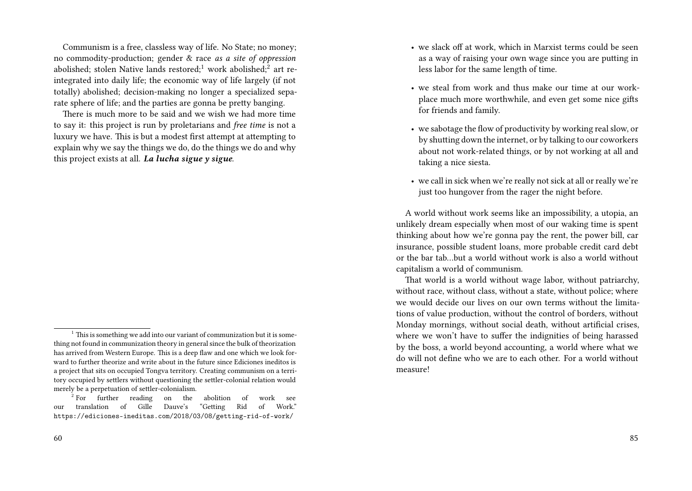Communism is a free, classless way of life. No State; no money; no commodity-production; gender & race *as a site of oppression* abolished; stolen Native lands restored; $^1$  work abolished; $^2$  art reintegrated into daily life; the economic way of life largely (if not totally) abolished; decision-making no longer a specialized separate sphere of life; and the parties are gonna be pretty banging.

There is much more to be said and we wish we had more time to say it: this project is run by proletarians and *free time* is not a luxury we have. This is but a modest first attempt at attempting to explain why we say the things we do, do the things we do and why this project exists at all. *La lucha sigue y sigue.*

- we slack off at work, which in Marxist terms could be seen as a way of raising your own wage since you are putting in less labor for the same length of time.
- we steal from work and thus make our time at our workplace much more worthwhile, and even get some nice gifts for friends and family.
- we sabotage the flow of productivity by working real slow, or by shutting down the internet, or by talking to our coworkers about not work-related things, or by not working at all and taking a nice siesta.
- we call in sick when we're really not sick at all or really we're just too hungover from the rager the night before.

A world without work seems like an impossibility, a utopia, an unlikely dream especially when most of our waking time is spent thinking about how we're gonna pay the rent, the power bill, car insurance, possible student loans, more probable credit card debt or the bar tab…but a world without work is also a world without capitalism a world of communism.

That world is a world without wage labor, without patriarchy, without race, without class, without a state, without police; where we would decide our lives on our own terms without the limitations of value production, without the control of borders, without Monday mornings, without social death, without artificial crises, where we won't have to suffer the indignities of being harassed by the boss, a world beyond accounting, a world where what we do will not define who we are to each other. For a world without measure!

 $1$ . This is something we add into our variant of communization but it is something not found in communization theory in general since the bulk of theorization has arrived from Western Europe. This is a deep flaw and one which we look forward to further theorize and write about in the future since Ediciones ineditos is a project that sits on occupied Tongva territory. Creating communism on a territory occupied by settlers without questioning the settler-colonial relation would merely be a perpetuation of settler-colonialism.

 $2^{2}$  For further reading on the abolition of work see our translation of Gille Dauve's "Getting Rid of Work." https://ediciones-ineditas.com/2018/03/08/getting-rid-of-work/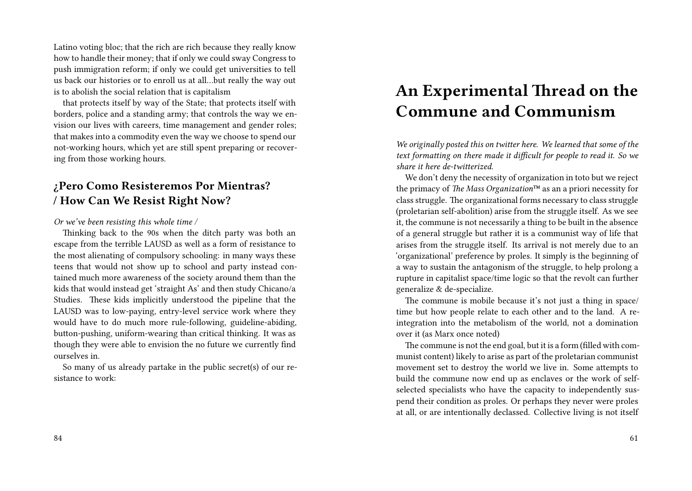Latino voting bloc; that the rich are rich because they really know how to handle their money; that if only we could sway Congress to push immigration reform; if only we could get universities to tell us back our histories or to enroll us at all…but really the way out is to abolish the social relation that is capitalism

that protects itself by way of the State; that protects itself with borders, police and a standing army; that controls the way we envision our lives with careers, time management and gender roles; that makes into a commodity even the way we choose to spend our not-working hours, which yet are still spent preparing or recovering from those working hours.

### **¿Pero Como Resisteremos Por Mientras? / How Can We Resist Right Now?**

*Or we've been resisting this whole time /*

Thinking back to the 90s when the ditch party was both an escape from the terrible LAUSD as well as a form of resistance to the most alienating of compulsory schooling: in many ways these teens that would not show up to school and party instead contained much more awareness of the society around them than the kids that would instead get 'straight As' and then study Chicano/a Studies. These kids implicitly understood the pipeline that the LAUSD was to low-paying, entry-level service work where they would have to do much more rule-following, guideline-abiding, button-pushing, uniform-wearing than critical thinking. It was as though they were able to envision the no future we currently find ourselves in.

So many of us already partake in the public secret(s) of our resistance to work:

# **An Experimental Thread on the Commune and Communism**

*We originally posted this on twitter here. We learned that some of the text formatting on there made it difficult for people to read it. So we share it here de-twitterized.*

We don't deny the necessity of organization in toto but we reject the primacy of *The Mass Organization*™ as an a priori necessity for class struggle. The organizational forms necessary to class struggle (proletarian self-abolition) arise from the struggle itself. As we see it, the commune is not necessarily a thing to be built in the absence of a general struggle but rather it is a communist way of life that arises from the struggle itself. Its arrival is not merely due to an 'organizational' preference by proles. It simply is the beginning of a way to sustain the antagonism of the struggle, to help prolong a rupture in capitalist space/time logic so that the revolt can further generalize & de-specialize.

The commune is mobile because it's not just a thing in space/ time but how people relate to each other and to the land. A reintegration into the metabolism of the world, not a domination over it (as Marx once noted)

The commune is not the end goal, but it is a form (filled with communist content) likely to arise as part of the proletarian communist movement set to destroy the world we live in. Some attempts to build the commune now end up as enclaves or the work of selfselected specialists who have the capacity to independently suspend their condition as proles. Or perhaps they never were proles at all, or are intentionally declassed. Collective living is not itself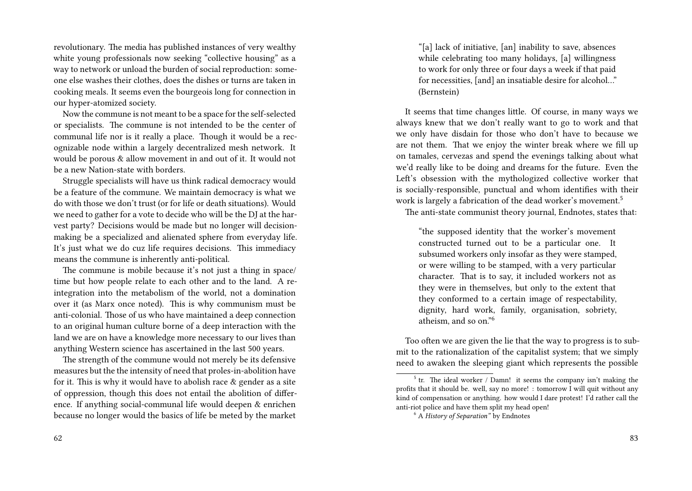revolutionary. The media has published instances of very wealthy white young professionals now seeking "collective housing" as a way to network or unload the burden of social reproduction: someone else washes their clothes, does the dishes or turns are taken in cooking meals. It seems even the bourgeois long for connection in our hyper-atomized society.

Now the commune is not meant to be a space for the self-selected or specialists. The commune is not intended to be the center of communal life nor is it really a place. Though it would be a recognizable node within a largely decentralized mesh network. It would be porous & allow movement in and out of it. It would not be a new Nation-state with borders.

Struggle specialists will have us think radical democracy would be a feature of the commune. We maintain democracy is what we do with those we don't trust (or for life or death situations). Would we need to gather for a vote to decide who will be the DJ at the harvest party? Decisions would be made but no longer will decisionmaking be a specialized and alienated sphere from everyday life. It's just what we do cuz life requires decisions. This immediacy means the commune is inherently anti-political.

The commune is mobile because it's not just a thing in space/ time but how people relate to each other and to the land. A reintegration into the metabolism of the world, not a domination over it (as Marx once noted). This is why communism must be anti-colonial. Those of us who have maintained a deep connection to an original human culture borne of a deep interaction with the land we are on have a knowledge more necessary to our lives than anything Western science has ascertained in the last 500 years.

The strength of the commune would not merely be its defensive measures but the the intensity of need that proles-in-abolition have for it. This is why it would have to abolish race & gender as a site of oppression, though this does not entail the abolition of difference. If anything social-communal life would deepen & enrichen because no longer would the basics of life be meted by the market

62

"[a] lack of initiative, [an] inability to save, absences while celebrating too many holidays, [a] willingness to work for only three or four days a week if that paid for necessities, [and] an insatiable desire for alcohol…" (Bernstein)

It seems that time changes little. Of course, in many ways we always knew that we don't really want to go to work and that we only have disdain for those who don't have to because we are not them. That we enjoy the winter break where we fill up on tamales, cervezas and spend the evenings talking about what we'd really like to be doing and dreams for the future. Even the Left's obsession with the mythologized collective worker that is socially-responsible, punctual and whom identifies with their work is largely a fabrication of the dead worker's movement.<sup>5</sup>

The anti-state communist theory journal, Endnotes, states that:

"the supposed identity that the worker's movement constructed turned out to be a particular one. It subsumed workers only insofar as they were stamped, or were willing to be stamped, with a very particular character. That is to say, it included workers not as they were in themselves, but only to the extent that they conformed to a certain image of respectability, dignity, hard work, family, organisation, sobriety, atheism, and so on."<sup>6</sup>

Too often we are given the lie that the way to progress is to submit to the rationalization of the capitalist system; that we simply need to awaken the sleeping giant which represents the possible

<sup>&</sup>lt;sup>5</sup> tr. The ideal worker / Damn! it seems the company isn't making the profits that it should be. well, say no more! : tomorrow I will quit without any kind of compensation or anything. how would I dare protest! I'd rather call the anti-riot police and have them split my head open!

<sup>6</sup> A *History of Separation"* by Endnotes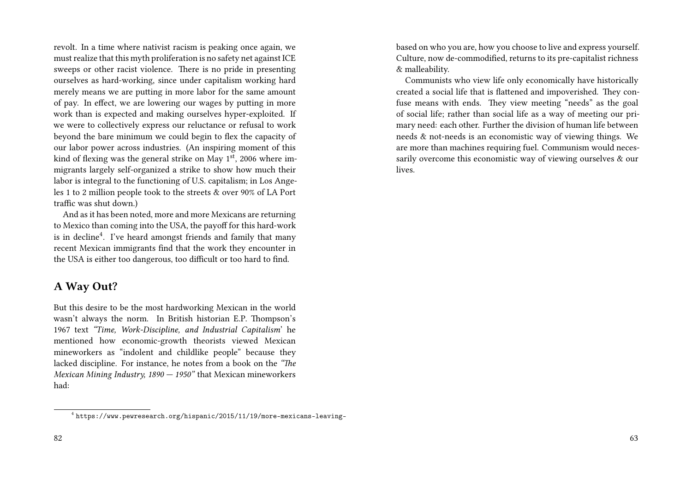revolt. In a time where nativist racism is peaking once again, we must realize that this myth proliferation is no safety net against ICE sweeps or other racist violence. There is no pride in presenting ourselves as hard-working, since under capitalism working hard merely means we are putting in more labor for the same amount of pay. In effect, we are lowering our wages by putting in more work than is expected and making ourselves hyper-exploited. If we were to collectively express our reluctance or refusal to work beyond the bare minimum we could begin to flex the capacity of our labor power across industries. (An inspiring moment of this kind of flexing was the general strike on May  $1<sup>st</sup>$ , 2006 where immigrants largely self-organized a strike to show how much their labor is integral to the functioning of U.S. capitalism; in Los Angeles 1 to 2 million people took to the streets & over 90% of LA Port traffic was shut down.)

And as it has been noted, more and more Mexicans are returning to Mexico than coming into the USA, the payoff for this hard-work is in decline<sup>4</sup>. I've heard amongst friends and family that many recent Mexican immigrants find that the work they encounter in the USA is either too dangerous, too difficult or too hard to find.

### **A Way Out?**

But this desire to be the most hardworking Mexican in the world wasn't always the norm. In British historian E.P. Thompson's 1967 text *"Time, Work-Discipline, and Industrial Capitalism*' he mentioned how economic-growth theorists viewed Mexican mineworkers as "indolent and childlike people" because they lacked discipline. For instance, he notes from a book on the *"The Mexican Mining Industry, 1890 — 1950"* that Mexican mineworkers had:

based on who you are, how you choose to live and express yourself. Culture, now de-commodified, returns to its pre-capitalist richness & malleability.

Communists who view life only economically have historically created a social life that is flattened and impoverished. They confuse means with ends. They view meeting "needs" as the goal of social life; rather than social life as a way of meeting our primary need: each other. Further the division of human life between needs & not-needs is an economistic way of viewing things. We are more than machines requiring fuel. Communism would necessarily overcome this economistic way of viewing ourselves & our lives.

 $^4$  https://www.pewresearch.org/hispanic/2015/11/19/more-mexicans-leaving-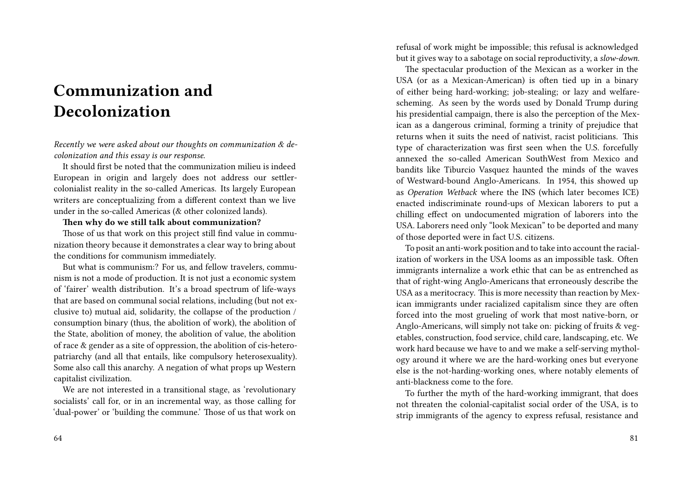# **Communization and Decolonization**

*Recently we were asked about our thoughts on communization & decolonization and this essay is our response.*

It should first be noted that the communization milieu is indeed European in origin and largely does not address our settlercolonialist reality in the so-called Americas. Its largely European writers are conceptualizing from a different context than we live under in the so-called Americas (& other colonized lands).

**Then why do we still talk about communization?**

Those of us that work on this project still find value in communization theory because it demonstrates a clear way to bring about the conditions for communism immediately.

But what is communism:? For us, and fellow travelers, communism is not a mode of production. It is not just a economic system of 'fairer' wealth distribution. It's a broad spectrum of life-ways that are based on communal social relations, including (but not exclusive to) mutual aid, solidarity, the collapse of the production / consumption binary (thus, the abolition of work), the abolition of the State, abolition of money, the abolition of value, the abolition of race & gender as a site of oppression, the abolition of cis-heteropatriarchy (and all that entails, like compulsory heterosexuality). Some also call this anarchy. A negation of what props up Western capitalist civilization.

We are not interested in a transitional stage, as 'revolutionary socialists' call for, or in an incremental way, as those calling for 'dual-power' or 'building the commune.' Those of us that work on

refusal of work might be impossible; this refusal is acknowledged but it gives way to a sabotage on social reproductivity, a *slow-down.*

The spectacular production of the Mexican as a worker in the USA (or as a Mexican-American) is often tied up in a binary of either being hard-working; job-stealing; or lazy and welfarescheming. As seen by the words used by Donald Trump during his presidential campaign, there is also the perception of the Mexican as a dangerous criminal, forming a trinity of prejudice that returns when it suits the need of nativist, racist politicians. This type of characterization was first seen when the U.S. forcefully annexed the so-called American SouthWest from Mexico and bandits like Tiburcio Vasquez haunted the minds of the waves of Westward-bound Anglo-Americans. In 1954, this showed up as *Operation Wetback* where the INS (which later becomes ICE) enacted indiscriminate round-ups of Mexican laborers to put a chilling effect on undocumented migration of laborers into the USA. Laborers need only "look Mexican" to be deported and many of those deported were in fact U.S. citizens.

To posit an anti-work position and to take into account the racialization of workers in the USA looms as an impossible task. Often immigrants internalize a work ethic that can be as entrenched as that of right-wing Anglo-Americans that erroneously describe the USA as a meritocracy. This is more necessity than reaction by Mexican immigrants under racialized capitalism since they are often forced into the most grueling of work that most native-born, or Anglo-Americans, will simply not take on: picking of fruits & vegetables, construction, food service, child care, landscaping, etc. We work hard because we have to and we make a self-serving mythology around it where we are the hard-working ones but everyone else is the not-harding-working ones, where notably elements of anti-blackness come to the fore.

To further the myth of the hard-working immigrant, that does not threaten the colonial-capitalist social order of the USA, is to strip immigrants of the agency to express refusal, resistance and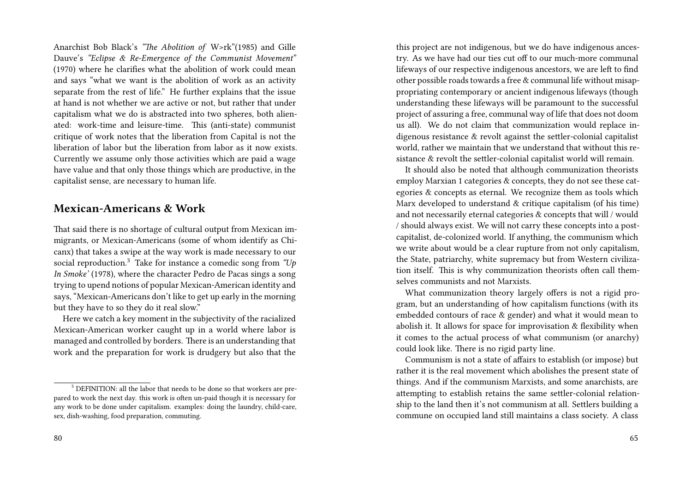Anarchist Bob Black's *"The Abolition of* W>rk"(1985) and Gille Dauve's *"Eclipse & Re-Emergence of the Communist Movement*" (1970) where he clarifies what the abolition of work could mean and says "what we want is the abolition of work as an activity separate from the rest of life." He further explains that the issue at hand is not whether we are active or not, but rather that under capitalism what we do is abstracted into two spheres, both alienated: work-time and leisure-time. This (anti-state) communist critique of work notes that the liberation from Capital is not the liberation of labor but the liberation from labor as it now exists. Currently we assume only those activities which are paid a wage have value and that only those things which are productive, in the capitalist sense, are necessary to human life.

### **Mexican-Americans & Work**

That said there is no shortage of cultural output from Mexican immigrants, or Mexican-Americans (some of whom identify as Chicanx) that takes a swipe at the way work is made necessary to our social reproduction.<sup>3</sup> Take for instance a comedic song from *"Up In Smoke'* (1978), where the character Pedro de Pacas sings a song trying to upend notions of popular Mexican-American identity and says, "Mexican-Americans don't like to get up early in the morning but they have to so they do it real slow."

Here we catch a key moment in the subjectivity of the racialized Mexican-American worker caught up in a world where labor is managed and controlled by borders. There is an understanding that work and the preparation for work is drudgery but also that the

this project are not indigenous, but we do have indigenous ancestry. As we have had our ties cut off to our much-more communal lifeways of our respective indigenous ancestors, we are left to find other possible roads towards a free & communal life without misappropriating contemporary or ancient indigenous lifeways (though understanding these lifeways will be paramount to the successful project of assuring a free, communal way of life that does not doom us all). We do not claim that communization would replace indigenous resistance & revolt against the settler-colonial capitalist world, rather we maintain that we understand that without this resistance & revolt the settler-colonial capitalist world will remain.

It should also be noted that although communization theorists employ Marxian 1 categories & concepts, they do not see these categories & concepts as eternal. We recognize them as tools which Marx developed to understand & critique capitalism (of his time) and not necessarily eternal categories & concepts that will / would / should always exist. We will not carry these concepts into a postcapitalist, de-colonized world. If anything, the communism which we write about would be a clear rupture from not only capitalism, the State, patriarchy, white supremacy but from Western civilization itself. This is why communization theorists often call themselves communists and not Marxists.

What communization theory largely offers is not a rigid program, but an understanding of how capitalism functions (with its embedded contours of race & gender) and what it would mean to abolish it. It allows for space for improvisation & flexibility when it comes to the actual process of what communism (or anarchy) could look like. There is no rigid party line.

Communism is not a state of affairs to establish (or impose) but rather it is the real movement which abolishes the present state of things. And if the communism Marxists, and some anarchists, are attempting to establish retains the same settler-colonial relationship to the land then it's not communism at all. Settlers building a commune on occupied land still maintains a class society. A class

<sup>&</sup>lt;sup>3</sup> DEFINITION: all the labor that needs to be done so that workers are prepared to work the next day. this work is often un-paid though it is necessary for any work to be done under capitalism. examples: doing the laundry, child-care, sex, dish-washing, food preparation, commuting.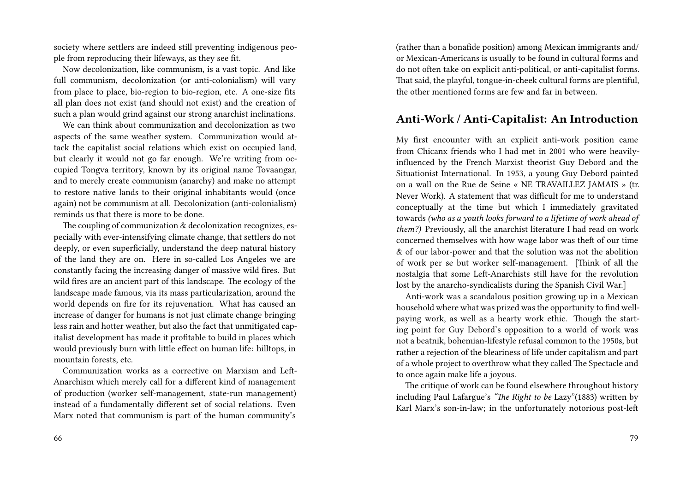society where settlers are indeed still preventing indigenous people from reproducing their lifeways, as they see fit.

Now decolonization, like communism, is a vast topic. And like full communism, decolonization (or anti-colonialism) will vary from place to place, bio-region to bio-region, etc. A one-size fits all plan does not exist (and should not exist) and the creation of such a plan would grind against our strong anarchist inclinations.

We can think about communization and decolonization as two aspects of the same weather system. Communization would attack the capitalist social relations which exist on occupied land, but clearly it would not go far enough. We're writing from occupied Tongva territory, known by its original name Tovaangar, and to merely create communism (anarchy) and make no attempt to restore native lands to their original inhabitants would (once again) not be communism at all. Decolonization (anti-colonialism) reminds us that there is more to be done.

The coupling of communization & decolonization recognizes, especially with ever-intensifying climate change, that settlers do not deeply, or even superficially, understand the deep natural history of the land they are on. Here in so-called Los Angeles we are constantly facing the increasing danger of massive wild fires. But wild fires are an ancient part of this landscape. The ecology of the landscape made famous, via its mass particularization, around the world depends on fire for its rejuvenation. What has caused an increase of danger for humans is not just climate change bringing less rain and hotter weather, but also the fact that unmitigated capitalist development has made it profitable to build in places which would previously burn with little effect on human life: hilltops, in mountain forests, etc.

Communization works as a corrective on Marxism and Left-Anarchism which merely call for a different kind of management of production (worker self-management, state-run management) instead of a fundamentally different set of social relations. Even Marx noted that communism is part of the human community's (rather than a bonafide position) among Mexican immigrants and/ or Mexican-Americans is usually to be found in cultural forms and do not often take on explicit anti-political, or anti-capitalist forms. That said, the playful, tongue-in-cheek cultural forms are plentiful, the other mentioned forms are few and far in between.

### **Anti-Work / Anti-Capitalist: An Introduction**

My first encounter with an explicit anti-work position came from Chicanx friends who I had met in 2001 who were heavilyinfluenced by the French Marxist theorist Guy Debord and the Situationist International. In 1953, a young Guy Debord painted on a wall on the Rue de Seine « NE TRAVAILLEZ JAMAIS » (tr. Never Work). A statement that was difficult for me to understand conceptually at the time but which I immediately gravitated towards *(who as a youth looks forward to a lifetime of work ahead of them?)* Previously, all the anarchist literature I had read on work concerned themselves with how wage labor was theft of our time & of our labor-power and that the solution was not the abolition of work per se but worker self-management. [Think of all the nostalgia that some Left-Anarchists still have for the revolution lost by the anarcho-syndicalists during the Spanish Civil War.]

Anti-work was a scandalous position growing up in a Mexican household where what was prized was the opportunity to find wellpaying work, as well as a hearty work ethic. Though the starting point for Guy Debord's opposition to a world of work was not a beatnik, bohemian-lifestyle refusal common to the 1950s, but rather a rejection of the bleariness of life under capitalism and part of a whole project to overthrow what they called The Spectacle and to once again make life a joyous.

The critique of work can be found elsewhere throughout history including Paul Lafargue's *"The Right to be* Lazy"(1883) written by Karl Marx's son-in-law; in the unfortunately notorious post-left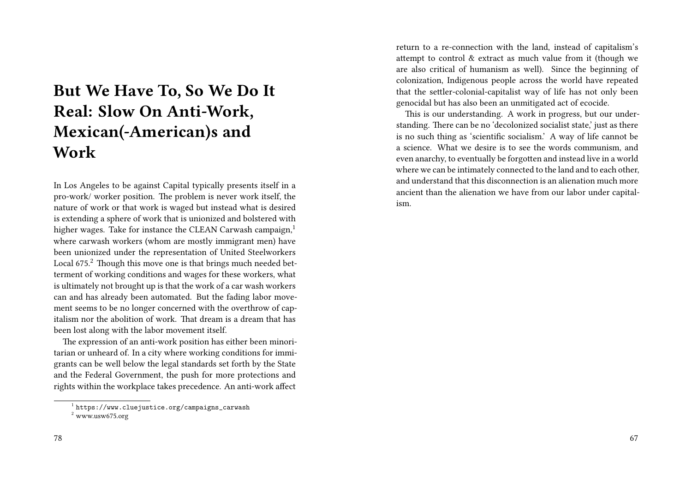# **But We Have To, So We Do It Real: Slow On Anti-Work, Mexican(-American)s and Work**

In Los Angeles to be against Capital typically presents itself in a pro-work/ worker position. The problem is never work itself, the nature of work or that work is waged but instead what is desired is extending a sphere of work that is unionized and bolstered with higher wages. Take for instance the CLEAN Carwash campaign,<sup>1</sup> where carwash workers (whom are mostly immigrant men) have been unionized under the representation of United Steelworkers Local  $675<sup>2</sup>$ . Though this move one is that brings much needed betterment of working conditions and wages for these workers, what is ultimately not brought up is that the work of a car wash workers can and has already been automated. But the fading labor movement seems to be no longer concerned with the overthrow of capitalism nor the abolition of work. That dream is a dream that has been lost along with the labor movement itself.

The expression of an anti-work position has either been minoritarian or unheard of. In a city where working conditions for immigrants can be well below the legal standards set forth by the State and the Federal Government, the push for more protections and rights within the workplace takes precedence. An anti-work affect return to a re-connection with the land, instead of capitalism's attempt to control & extract as much value from it (though we are also critical of humanism as well). Since the beginning of colonization, Indigenous people across the world have repeated that the settler-colonial-capitalist way of life has not only been genocidal but has also been an unmitigated act of ecocide.

This is our understanding. A work in progress, but our understanding. There can be no 'decolonized socialist state,' just as there is no such thing as 'scientific socialism.' A way of life cannot be a science. What we desire is to see the words communism, and even anarchy, to eventually be forgotten and instead live in a world where we can be intimately connected to the land and to each other, and understand that this disconnection is an alienation much more ancient than the alienation we have from our labor under capitalism.

<sup>1</sup> https://www.cluejustice.org/campaigns\_carwash

 $2$  www.usw675.org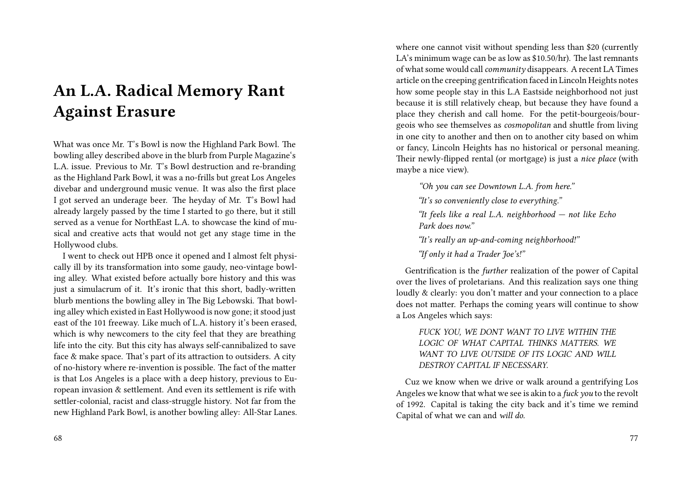# **An L.A. Radical Memory Rant Against Erasure**

What was once Mr. T's Bowl is now the Highland Park Bowl. The bowling alley described above in the blurb from Purple Magazine's L.A. issue. Previous to Mr. T's Bowl destruction and re-branding as the Highland Park Bowl, it was a no-frills but great Los Angeles divebar and underground music venue. It was also the first place I got served an underage beer. The heyday of Mr. T's Bowl had already largely passed by the time I started to go there, but it still served as a venue for NorthEast L.A. to showcase the kind of musical and creative acts that would not get any stage time in the Hollywood clubs.

I went to check out HPB once it opened and I almost felt physically ill by its transformation into some gaudy, neo-vintage bowling alley. What existed before actually bore history and this was just a simulacrum of it. It's ironic that this short, badly-written blurb mentions the bowling alley in The Big Lebowski. That bowling alley which existed in East Hollywood is now gone; it stood just east of the 101 freeway. Like much of L.A. history it's been erased, which is why newcomers to the city feel that they are breathing life into the city. But this city has always self-cannibalized to save face & make space. That's part of its attraction to outsiders. A city of no-history where re-invention is possible. The fact of the matter is that Los Angeles is a place with a deep history, previous to European invasion & settlement. And even its settlement is rife with settler-colonial, racist and class-struggle history. Not far from the new Highland Park Bowl, is another bowling alley: All-Star Lanes.

where one cannot visit without spending less than \$20 (currently LA's minimum wage can be as low as \$10.50/hr). The last remnants of what some would call*community* disappears. A recent LA Times article on the creeping gentrification faced in Lincoln Heights notes how some people stay in this L.A Eastside neighborhood not just because it is still relatively cheap, but because they have found a place they cherish and call home. For the petit-bourgeois/bourgeois who see themselves as *cosmopolitan* and shuttle from living in one city to another and then on to another city based on whim or fancy, Lincoln Heights has no historical or personal meaning. Their newly-flipped rental (or mortgage) is just a *nice place* (with maybe a nice view).

*"Oh you can see Downtown L.A. from here."*

*"It's so conveniently close to everything."*

*"It feels like a real L.A. neighborhood — not like Echo Park does now."*

*"It's really an up-and-coming neighborhood!"*

*"If only it had a Trader Joe's!"*

Gentrification is the *further* realization of the power of Capital over the lives of proletarians. And this realization says one thing loudly & clearly: you don't matter and your connection to a place does not matter. Perhaps the coming years will continue to show a Los Angeles which says:

*FUCK YOU, WE DONT WANT TO LIVE WITHIN THE LOGIC OF WHAT CAPITAL THINKS MATTERS. WE WANT TO LIVE OUTSIDE OF ITS LOGIC AND WILL DESTROY CAPITAL IF NECESSARY.*

Cuz we know when we drive or walk around a gentrifying Los Angeles we know that what we see is akin to a *fuck you* to the revolt of 1992. Capital is taking the city back and it's time we remind Capital of what we can and *will do.*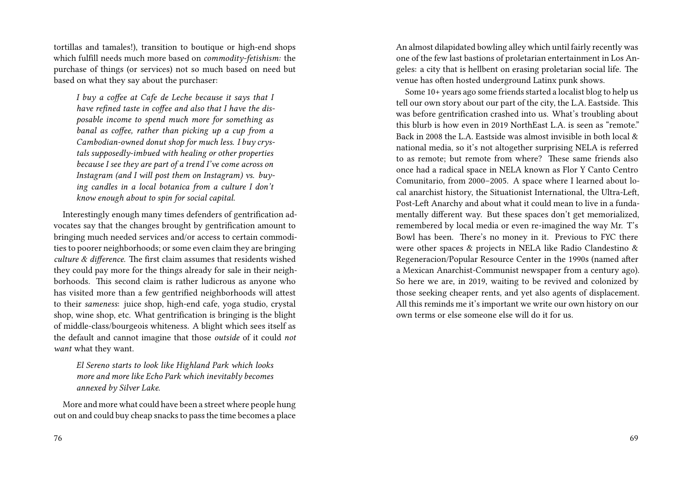tortillas and tamales!), transition to boutique or high-end shops which fulfill needs much more based on *commodity-fetishism:* the purchase of things (or services) not so much based on need but based on what they say about the purchaser:

*I buy a coffee at Cafe de Leche because it says that I have refined taste in coffee and also that I have the disposable income to spend much more for something as banal as coffee, rather than picking up a cup from a Cambodian-owned donut shop for much less. I buy crystals supposedly-imbued with healing or other properties because I see they are part of a trend I've come across on Instagram (and I will post them on Instagram) vs. buying candles in a local botanica from a culture I don't know enough about to spin for social capital.*

Interestingly enough many times defenders of gentrification advocates say that the changes brought by gentrification amount to bringing much needed services and/or access to certain commodities to poorer neighborhoods; or some even claim they are bringing *culture & difference.* The first claim assumes that residents wished they could pay more for the things already for sale in their neighborhoods. This second claim is rather ludicrous as anyone who has visited more than a few gentrified neighborhoods will attest to their *sameness*: juice shop, high-end cafe, yoga studio, crystal shop, wine shop, etc. What gentrification is bringing is the blight of middle-class/bourgeois whiteness. A blight which sees itself as the default and cannot imagine that those *outside* of it could *not want* what they want.

*El Sereno starts to look like Highland Park which looks more and more like Echo Park which inevitably becomes annexed by Silver Lake.*

More and more what could have been a street where people hung out on and could buy cheap snacks to pass the time becomes a place An almost dilapidated bowling alley which until fairly recently was one of the few last bastions of proletarian entertainment in Los Angeles: a city that is hellbent on erasing proletarian social life. The venue has often hosted underground Latinx punk shows.

Some 10+ years ago some friends started a localist blog to help us tell our own story about our part of the city, the L.A. Eastside. This was before gentrification crashed into us. What's troubling about this blurb is how even in 2019 NorthEast L.A. is seen as "remote." Back in 2008 the L.A. Eastside was almost invisible in both local  $\&$ national media, so it's not altogether surprising NELA is referred to as remote; but remote from where? These same friends also once had a radical space in NELA known as Flor Y Canto Centro Comunitario, from 2000–2005. A space where I learned about local anarchist history, the Situationist International, the Ultra-Left, Post-Left Anarchy and about what it could mean to live in a fundamentally different way. But these spaces don't get memorialized, remembered by local media or even re-imagined the way Mr. T's Bowl has been. There's no money in it. Previous to FYC there were other spaces & projects in NELA like Radio Clandestino & Regeneracion/Popular Resource Center in the 1990s (named after a Mexican Anarchist-Communist newspaper from a century ago). So here we are, in 2019, waiting to be revived and colonized by those seeking cheaper rents, and yet also agents of displacement. All this reminds me it's important we write our own history on our own terms or else someone else will do it for us.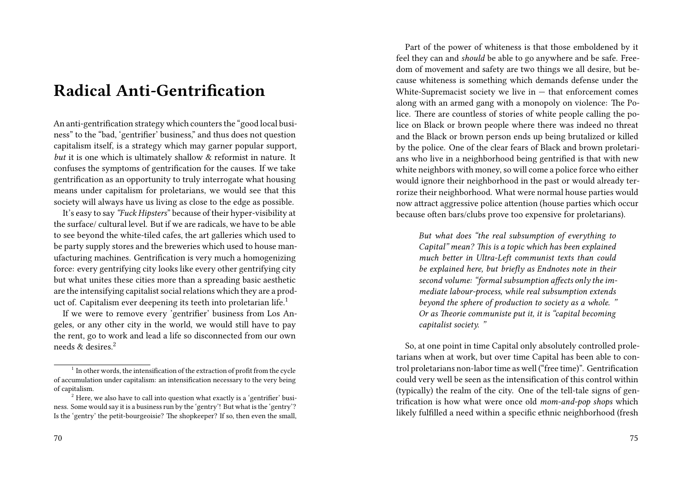## **Radical Anti-Gentrification**

An anti-gentrification strategy which counters the "good local business" to the "bad, 'gentrifier' business," and thus does not question capitalism itself, is a strategy which may garner popular support, *but* it is one which is ultimately shallow & reformist in nature. It confuses the symptoms of gentrification for the causes. If we take gentrification as an opportunity to truly interrogate what housing means under capitalism for proletarians, we would see that this society will always have us living as close to the edge as possible.

It's easy to say *"Fuck Hipsters*" because of their hyper-visibility at the surface/ cultural level. But if we are radicals, we have to be able to see beyond the white-tiled cafes, the art galleries which used to be party supply stores and the breweries which used to house manufacturing machines. Gentrification is very much a homogenizing force: every gentrifying city looks like every other gentrifying city but what unites these cities more than a spreading basic aesthetic are the intensifying capitalist social relations which they are a product of. Capitalism ever deepening its teeth into proletarian life.<sup>1</sup>

If we were to remove every 'gentrifier' business from Los Angeles, or any other city in the world, we would still have to pay the rent, go to work and lead a life so disconnected from our own needs  $\&$  desires<sup>2</sup>

Part of the power of whiteness is that those emboldened by it feel they can and *should* be able to go anywhere and be safe. Freedom of movement and safety are two things we all desire, but because whiteness is something which demands defense under the White-Supremacist society we live in  $-$  that enforcement comes along with an armed gang with a monopoly on violence: The Police. There are countless of stories of white people calling the police on Black or brown people where there was indeed no threat and the Black or brown person ends up being brutalized or killed by the police. One of the clear fears of Black and brown proletarians who live in a neighborhood being gentrified is that with new white neighbors with money, so will come a police force who either would ignore their neighborhood in the past or would already terrorize their neighborhood. What were normal house parties would now attract aggressive police attention (house parties which occur because often bars/clubs prove too expensive for proletarians).

*But what does "the real subsumption of everything to Capital" mean? This is a topic which has been explained much better in Ultra-Left communist texts than could be explained here, but briefly as Endnotes note in their second volume: "formal subsumption affects only the immediate labour-process, while real subsumption extends beyond the sphere of production to society as a whole. " Or as Theorie communiste put it, it is "capital becoming capitalist society. "*

So, at one point in time Capital only absolutely controlled proletarians when at work, but over time Capital has been able to control proletarians non-labor time as well ("free time)". Gentrification could very well be seen as the intensification of this control within (typically) the realm of the city. One of the tell-tale signs of gentrification is how what were once old *mom-and-pop shops* which likely fulfilled a need within a specific ethnic neighborhood (fresh

 $1$  In other words, the intensification of the extraction of profit from the cycle of accumulation under capitalism: an intensification necessary to the very being of capitalism.

 $2^2$  Here, we also have to call into question what exactly is a 'gentrifier' business. Some would say it is a business run by the 'gentry'! But what is the 'gentry'? Is the 'gentry' the petit-bourgeoisie? The shopkeeper? If so, then even the small,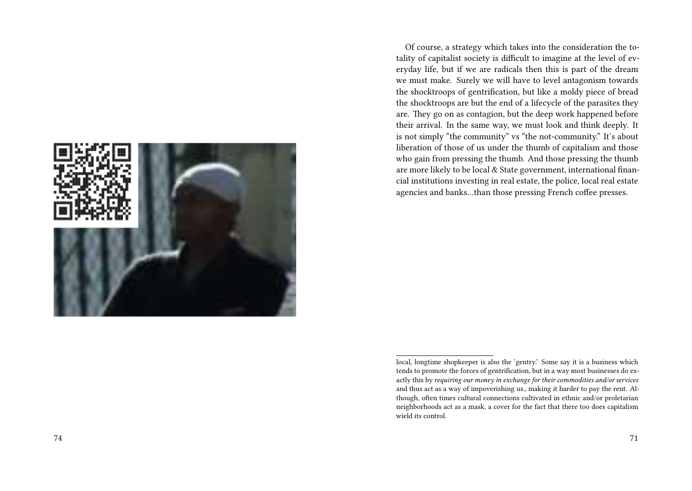

Of course, a strategy which takes into the consideration the totality of capitalist society is difficult to imagine at the level of everyday life, but if we are radicals then this is part of the dream we must make. Surely we will have to level antagonism towards the shocktroops of gentrification, but like a moldy piece of bread the shocktroops are but the end of a lifecycle of the parasites they are. They go on as contagion, but the deep work happened before their arrival. In the same way, we must look and think deeply. It is not simply "the community" vs "the not-community." It's about liberation of those of us under the thumb of capitalism and those who gain from pressing the thumb. And those pressing the thumb are more likely to be local & State government, international financial institutions investing in real estate, the police, local real estate agencies and banks…than those pressing French coffee presses.

local, longtime shopkeeper is also the 'gentry.' Some say it is a business which tends to promote the forces of gentrification, but in a way most businesses do exactly this by *requiring our money in exchange for their commodities and/or services* and thus act as a way of impoverishing us., making it harder to pay the rent. Although, often times cultural connections cultivated in ethnic and/or proletarian neighborhoods act as a mask, a cover for the fact that there too does capitalism wield its control.